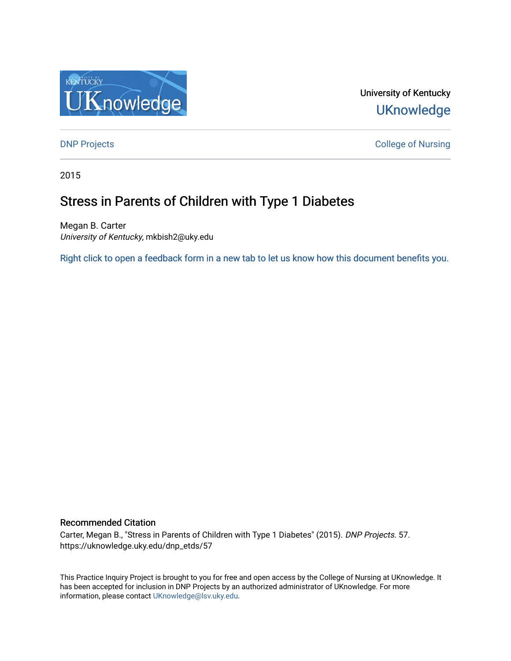

University of Kentucky **UKnowledge** 

**DNP Projects** College of Nursing

2015

# Stress in Parents of Children with Type 1 Diabetes

Megan B. Carter University of Kentucky, mkbish2@uky.edu

[Right click to open a feedback form in a new tab to let us know how this document benefits you.](https://uky.az1.qualtrics.com/jfe/form/SV_9mq8fx2GnONRfz7)

# Recommended Citation

Carter, Megan B., "Stress in Parents of Children with Type 1 Diabetes" (2015). DNP Projects. 57. https://uknowledge.uky.edu/dnp\_etds/57

This Practice Inquiry Project is brought to you for free and open access by the College of Nursing at UKnowledge. It has been accepted for inclusion in DNP Projects by an authorized administrator of UKnowledge. For more information, please contact [UKnowledge@lsv.uky.edu](mailto:UKnowledge@lsv.uky.edu).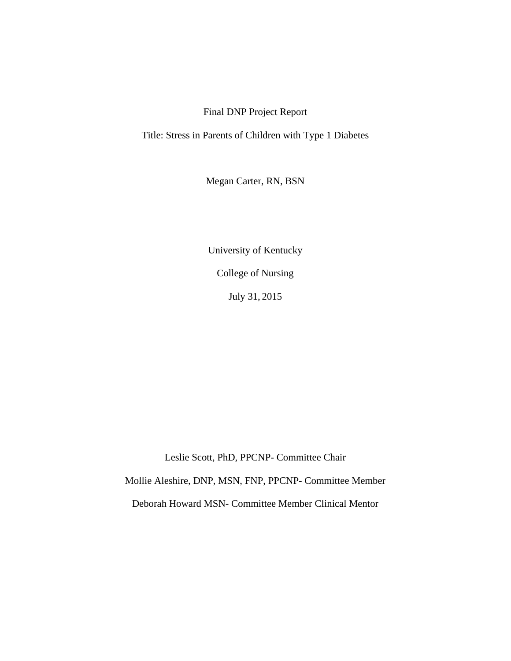# Final DNP Project Report

Title: Stress in Parents of Children with Type 1 Diabetes

Megan Carter, RN, BSN

University of Kentucky College of Nursing

July 31, 2015

Leslie Scott, PhD, PPCNP- Committee Chair Mollie Aleshire, DNP, MSN, FNP, PPCNP- Committee Member Deborah Howard MSN- Committee Member Clinical Mentor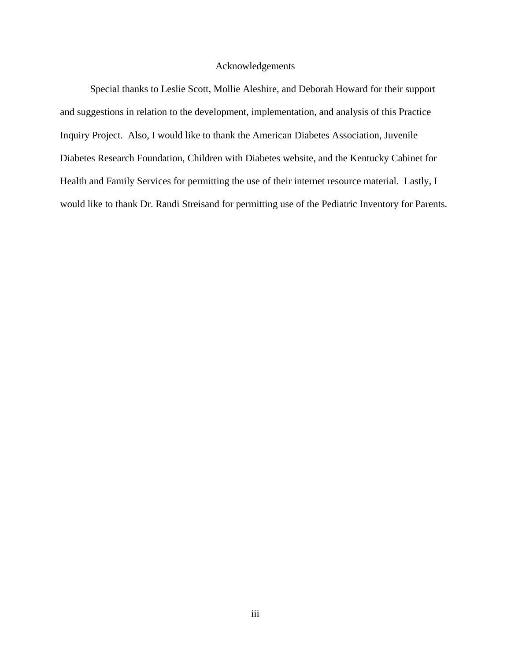### Acknowledgements

Special thanks to Leslie Scott, Mollie Aleshire, and Deborah Howard for their support and suggestions in relation to the development, implementation, and analysis of this Practice Inquiry Project. Also, I would like to thank the American Diabetes Association, Juvenile Diabetes Research Foundation, Children with Diabetes website, and the Kentucky Cabinet for Health and Family Services for permitting the use of their internet resource material. Lastly, I would like to thank Dr. Randi Streisand for permitting use of the Pediatric Inventory for Parents.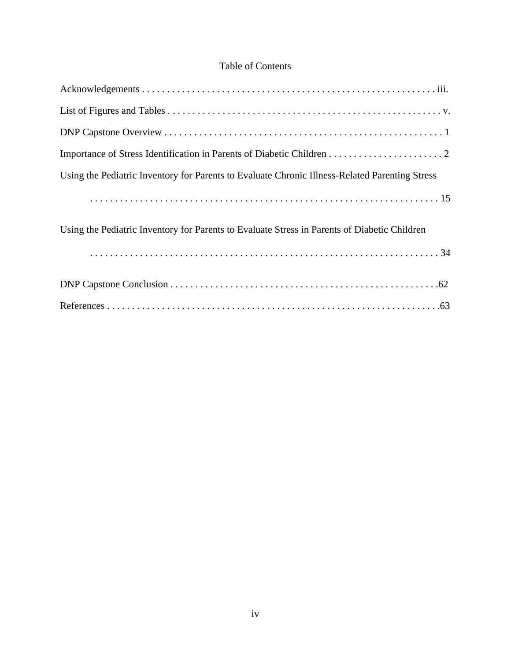# Table of Contents

| Using the Pediatric Inventory for Parents to Evaluate Chronic Illness-Related Parenting Stress |
|------------------------------------------------------------------------------------------------|
|                                                                                                |
| Using the Pediatric Inventory for Parents to Evaluate Stress in Parents of Diabetic Children   |
|                                                                                                |
|                                                                                                |
|                                                                                                |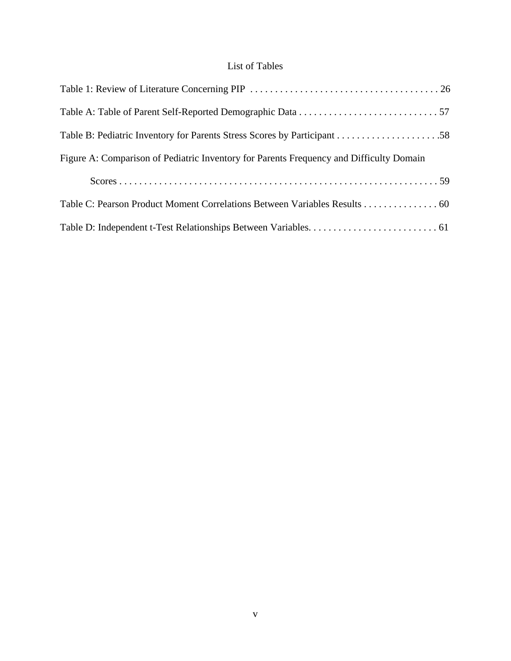# List of Tables

| Figure A: Comparison of Pediatric Inventory for Parents Frequency and Difficulty Domain |
|-----------------------------------------------------------------------------------------|
|                                                                                         |
| Table C: Pearson Product Moment Correlations Between Variables Results 60               |
|                                                                                         |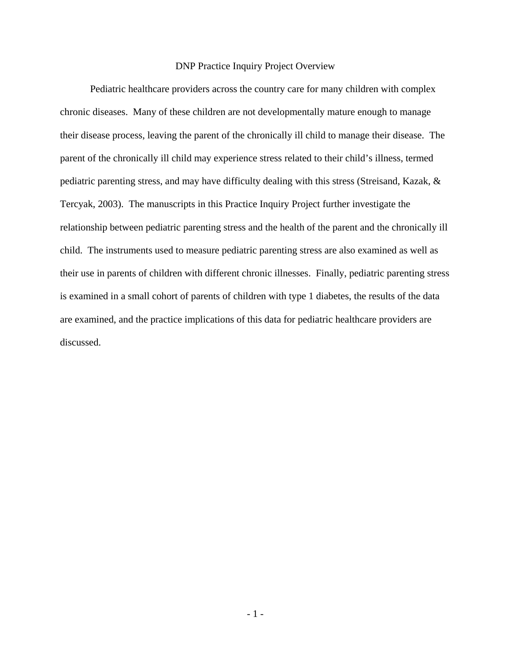### DNP Practice Inquiry Project Overview

Pediatric healthcare providers across the country care for many children with complex chronic diseases. Many of these children are not developmentally mature enough to manage their disease process, leaving the parent of the chronically ill child to manage their disease. The parent of the chronically ill child may experience stress related to their child's illness, termed pediatric parenting stress, and may have difficulty dealing with this stress (Streisand, Kazak, & Tercyak, 2003). The manuscripts in this Practice Inquiry Project further investigate the relationship between pediatric parenting stress and the health of the parent and the chronically ill child. The instruments used to measure pediatric parenting stress are also examined as well as their use in parents of children with different chronic illnesses. Finally, pediatric parenting stress is examined in a small cohort of parents of children with type 1 diabetes, the results of the data are examined, and the practice implications of this data for pediatric healthcare providers are discussed.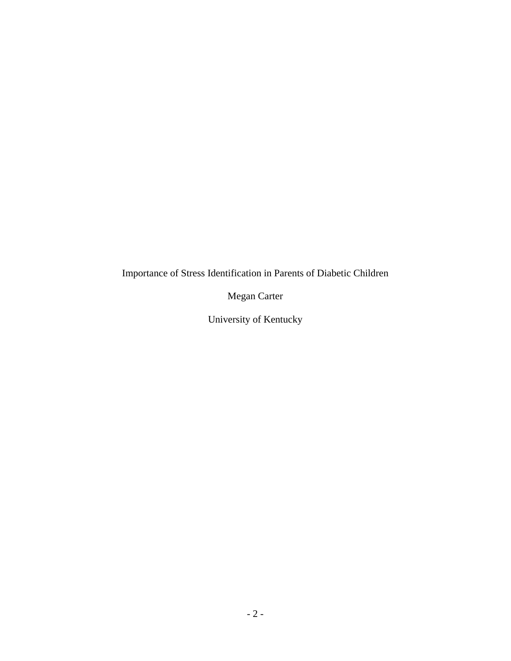Importance of Stress Identification in Parents of Diabetic Children

Megan Carter

University of Kentucky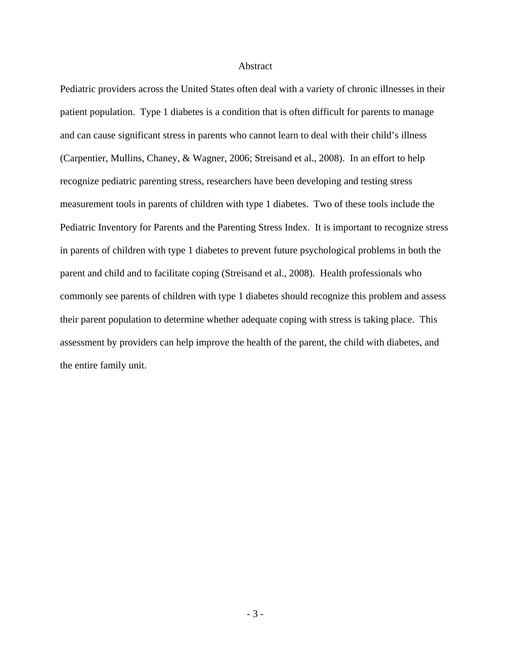### Abstract

Pediatric providers across the United States often deal with a variety of chronic illnesses in their patient population. Type 1 diabetes is a condition that is often difficult for parents to manage and can cause significant stress in parents who cannot learn to deal with their child's illness (Carpentier, Mullins, Chaney, & Wagner, 2006; Streisand et al., 2008). In an effort to help recognize pediatric parenting stress, researchers have been developing and testing stress measurement tools in parents of children with type 1 diabetes. Two of these tools include the Pediatric Inventory for Parents and the Parenting Stress Index. It is important to recognize stress in parents of children with type 1 diabetes to prevent future psychological problems in both the parent and child and to facilitate coping (Streisand et al., 2008). Health professionals who commonly see parents of children with type 1 diabetes should recognize this problem and assess their parent population to determine whether adequate coping with stress is taking place. This assessment by providers can help improve the health of the parent, the child with diabetes, and the entire family unit.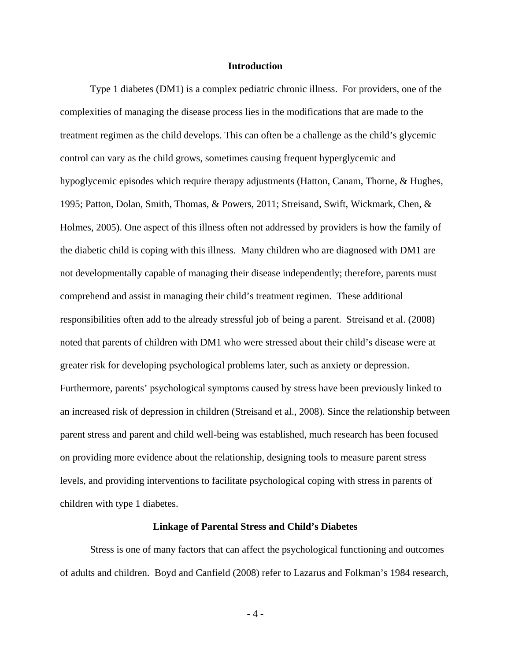#### **Introduction**

Type 1 diabetes (DM1) is a complex pediatric chronic illness. For providers, one of the complexities of managing the disease process lies in the modifications that are made to the treatment regimen as the child develops. This can often be a challenge as the child's glycemic control can vary as the child grows, sometimes causing frequent hyperglycemic and hypoglycemic episodes which require therapy adjustments (Hatton, Canam, Thorne, & Hughes, 1995; Patton, Dolan, Smith, Thomas, & Powers, 2011; Streisand, Swift, Wickmark, Chen, & Holmes, 2005). One aspect of this illness often not addressed by providers is how the family of the diabetic child is coping with this illness. Many children who are diagnosed with DM1 are not developmentally capable of managing their disease independently; therefore, parents must comprehend and assist in managing their child's treatment regimen. These additional responsibilities often add to the already stressful job of being a parent. Streisand et al. (2008) noted that parents of children with DM1 who were stressed about their child's disease were at greater risk for developing psychological problems later, such as anxiety or depression. Furthermore, parents' psychological symptoms caused by stress have been previously linked to an increased risk of depression in children (Streisand et al., 2008). Since the relationship between parent stress and parent and child well-being was established, much research has been focused on providing more evidence about the relationship, designing tools to measure parent stress levels, and providing interventions to facilitate psychological coping with stress in parents of children with type 1 diabetes.

#### **Linkage of Parental Stress and Child's Diabetes**

Stress is one of many factors that can affect the psychological functioning and outcomes of adults and children. Boyd and Canfield (2008) refer to Lazarus and Folkman's 1984 research,

- 4 -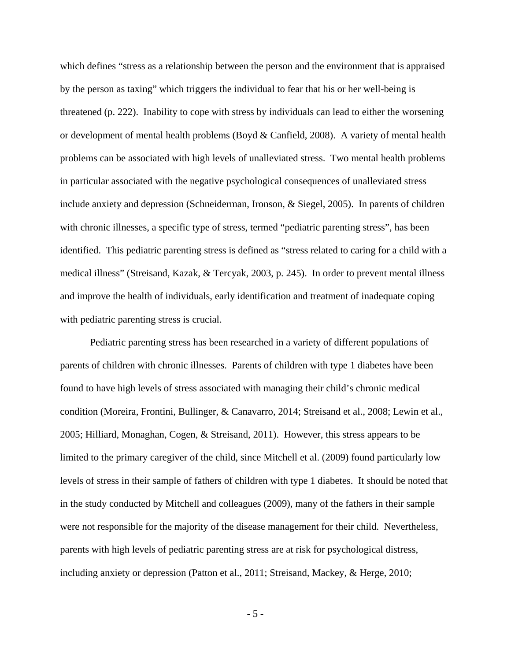which defines "stress as a relationship between the person and the environment that is appraised by the person as taxing" which triggers the individual to fear that his or her well-being is threatened (p. 222). Inability to cope with stress by individuals can lead to either the worsening or development of mental health problems (Boyd & Canfield, 2008). A variety of mental health problems can be associated with high levels of unalleviated stress. Two mental health problems in particular associated with the negative psychological consequences of unalleviated stress include anxiety and depression (Schneiderman, Ironson, & Siegel, 2005). In parents of children with chronic illnesses, a specific type of stress, termed "pediatric parenting stress", has been identified. This pediatric parenting stress is defined as "stress related to caring for a child with a medical illness" (Streisand, Kazak, & Tercyak, 2003, p. 245). In order to prevent mental illness and improve the health of individuals, early identification and treatment of inadequate coping with pediatric parenting stress is crucial.

Pediatric parenting stress has been researched in a variety of different populations of parents of children with chronic illnesses. Parents of children with type 1 diabetes have been found to have high levels of stress associated with managing their child's chronic medical condition (Moreira, Frontini, Bullinger, & Canavarro, 2014; Streisand et al., 2008; Lewin et al., 2005; Hilliard, Monaghan, Cogen, & Streisand, 2011). However, this stress appears to be limited to the primary caregiver of the child, since Mitchell et al. (2009) found particularly low levels of stress in their sample of fathers of children with type 1 diabetes. It should be noted that in the study conducted by Mitchell and colleagues (2009), many of the fathers in their sample were not responsible for the majority of the disease management for their child. Nevertheless, parents with high levels of pediatric parenting stress are at risk for psychological distress, including anxiety or depression (Patton et al., 2011; Streisand, Mackey, & Herge, 2010;

- 5 -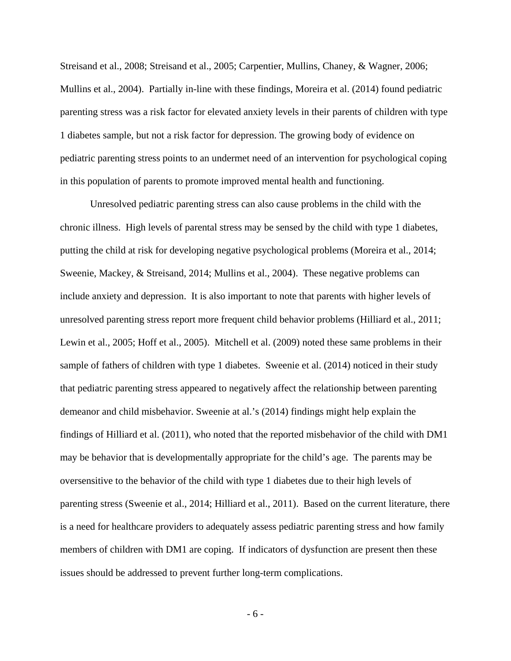Streisand et al., 2008; Streisand et al., 2005; Carpentier, Mullins, Chaney, & Wagner, 2006; Mullins et al., 2004). Partially in-line with these findings, Moreira et al. (2014) found pediatric parenting stress was a risk factor for elevated anxiety levels in their parents of children with type 1 diabetes sample, but not a risk factor for depression. The growing body of evidence on pediatric parenting stress points to an undermet need of an intervention for psychological coping in this population of parents to promote improved mental health and functioning.

Unresolved pediatric parenting stress can also cause problems in the child with the chronic illness. High levels of parental stress may be sensed by the child with type 1 diabetes, putting the child at risk for developing negative psychological problems (Moreira et al., 2014; Sweenie, Mackey, & Streisand, 2014; Mullins et al., 2004). These negative problems can include anxiety and depression. It is also important to note that parents with higher levels of unresolved parenting stress report more frequent child behavior problems (Hilliard et al., 2011; Lewin et al., 2005; Hoff et al., 2005). Mitchell et al. (2009) noted these same problems in their sample of fathers of children with type 1 diabetes. Sweenie et al. (2014) noticed in their study that pediatric parenting stress appeared to negatively affect the relationship between parenting demeanor and child misbehavior. Sweenie at al.'s (2014) findings might help explain the findings of Hilliard et al. (2011), who noted that the reported misbehavior of the child with DM1 may be behavior that is developmentally appropriate for the child's age. The parents may be oversensitive to the behavior of the child with type 1 diabetes due to their high levels of parenting stress (Sweenie et al., 2014; Hilliard et al., 2011). Based on the current literature, there is a need for healthcare providers to adequately assess pediatric parenting stress and how family members of children with DM1 are coping. If indicators of dysfunction are present then these issues should be addressed to prevent further long-term complications.

- 6 -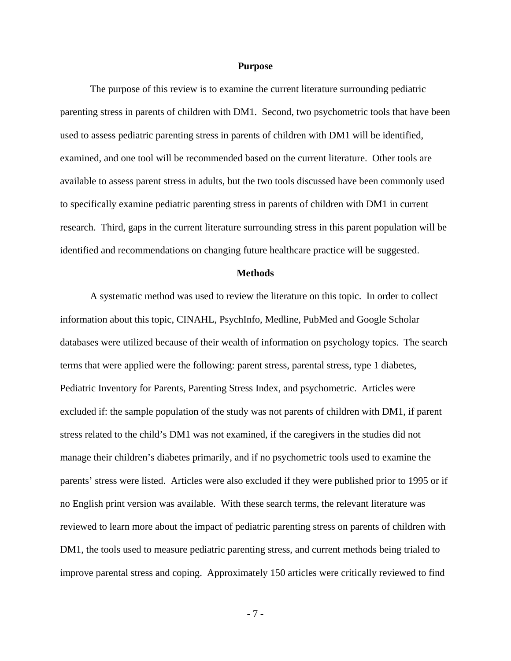#### **Purpose**

The purpose of this review is to examine the current literature surrounding pediatric parenting stress in parents of children with DM1. Second, two psychometric tools that have been used to assess pediatric parenting stress in parents of children with DM1 will be identified, examined, and one tool will be recommended based on the current literature. Other tools are available to assess parent stress in adults, but the two tools discussed have been commonly used to specifically examine pediatric parenting stress in parents of children with DM1 in current research. Third, gaps in the current literature surrounding stress in this parent population will be identified and recommendations on changing future healthcare practice will be suggested.

#### **Methods**

A systematic method was used to review the literature on this topic. In order to collect information about this topic, CINAHL, PsychInfo, Medline, PubMed and Google Scholar databases were utilized because of their wealth of information on psychology topics. The search terms that were applied were the following: parent stress, parental stress, type 1 diabetes, Pediatric Inventory for Parents, Parenting Stress Index, and psychometric. Articles were excluded if: the sample population of the study was not parents of children with DM1, if parent stress related to the child's DM1 was not examined, if the caregivers in the studies did not manage their children's diabetes primarily, and if no psychometric tools used to examine the parents' stress were listed. Articles were also excluded if they were published prior to 1995 or if no English print version was available. With these search terms, the relevant literature was reviewed to learn more about the impact of pediatric parenting stress on parents of children with DM1, the tools used to measure pediatric parenting stress, and current methods being trialed to improve parental stress and coping. Approximately 150 articles were critically reviewed to find

- 7 -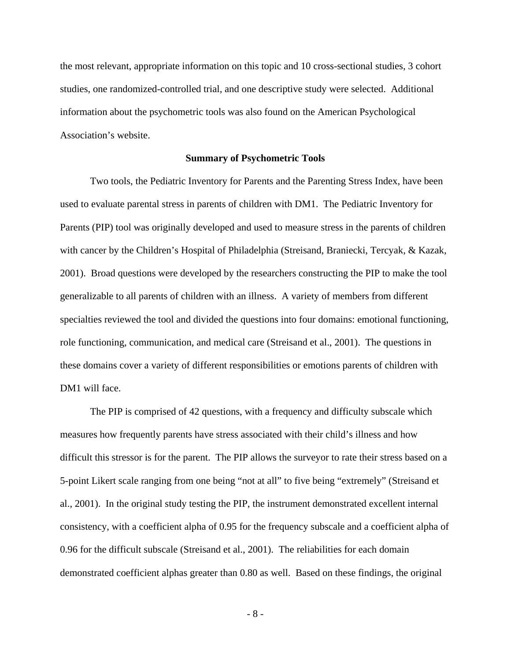the most relevant, appropriate information on this topic and 10 cross-sectional studies, 3 cohort studies, one randomized-controlled trial, and one descriptive study were selected. Additional information about the psychometric tools was also found on the American Psychological Association's website.

## **Summary of Psychometric Tools**

Two tools, the Pediatric Inventory for Parents and the Parenting Stress Index, have been used to evaluate parental stress in parents of children with DM1. The Pediatric Inventory for Parents (PIP) tool was originally developed and used to measure stress in the parents of children with cancer by the Children's Hospital of Philadelphia (Streisand, Braniecki, Tercyak, & Kazak, 2001). Broad questions were developed by the researchers constructing the PIP to make the tool generalizable to all parents of children with an illness. A variety of members from different specialties reviewed the tool and divided the questions into four domains: emotional functioning, role functioning, communication, and medical care (Streisand et al., 2001). The questions in these domains cover a variety of different responsibilities or emotions parents of children with DM1 will face.

The PIP is comprised of 42 questions, with a frequency and difficulty subscale which measures how frequently parents have stress associated with their child's illness and how difficult this stressor is for the parent. The PIP allows the surveyor to rate their stress based on a 5-point Likert scale ranging from one being "not at all" to five being "extremely" (Streisand et al., 2001). In the original study testing the PIP, the instrument demonstrated excellent internal consistency, with a coefficient alpha of 0.95 for the frequency subscale and a coefficient alpha of 0.96 for the difficult subscale (Streisand et al., 2001). The reliabilities for each domain demonstrated coefficient alphas greater than 0.80 as well. Based on these findings, the original

- 8 -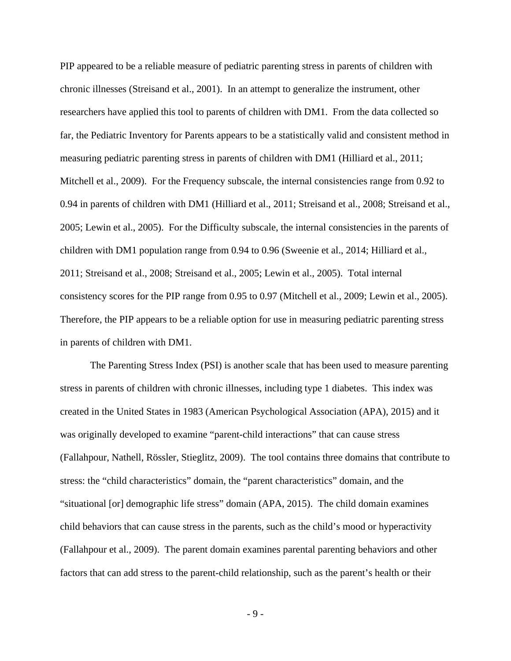PIP appeared to be a reliable measure of pediatric parenting stress in parents of children with chronic illnesses (Streisand et al., 2001). In an attempt to generalize the instrument, other researchers have applied this tool to parents of children with DM1. From the data collected so far, the Pediatric Inventory for Parents appears to be a statistically valid and consistent method in measuring pediatric parenting stress in parents of children with DM1 (Hilliard et al., 2011; Mitchell et al., 2009). For the Frequency subscale, the internal consistencies range from 0.92 to 0.94 in parents of children with DM1 (Hilliard et al., 2011; Streisand et al., 2008; Streisand et al., 2005; Lewin et al., 2005). For the Difficulty subscale, the internal consistencies in the parents of children with DM1 population range from 0.94 to 0.96 (Sweenie et al., 2014; Hilliard et al., 2011; Streisand et al., 2008; Streisand et al., 2005; Lewin et al., 2005). Total internal consistency scores for the PIP range from 0.95 to 0.97 (Mitchell et al., 2009; Lewin et al., 2005). Therefore, the PIP appears to be a reliable option for use in measuring pediatric parenting stress in parents of children with DM1.

The Parenting Stress Index (PSI) is another scale that has been used to measure parenting stress in parents of children with chronic illnesses, including type 1 diabetes. This index was created in the United States in 1983 (American Psychological Association (APA), 2015) and it was originally developed to examine "parent-child interactions" that can cause stress (Fallahpour, Nathell, Rössler, Stieglitz, 2009). The tool contains three domains that contribute to stress: the "child characteristics" domain, the "parent characteristics" domain, and the "situational [or] demographic life stress" domain (APA, 2015). The child domain examines child behaviors that can cause stress in the parents, such as the child's mood or hyperactivity (Fallahpour et al., 2009). The parent domain examines parental parenting behaviors and other factors that can add stress to the parent-child relationship, such as the parent's health or their

- 9 -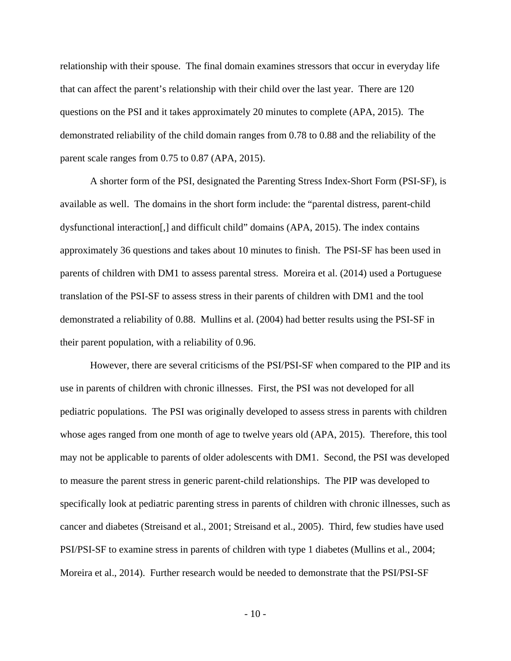relationship with their spouse. The final domain examines stressors that occur in everyday life that can affect the parent's relationship with their child over the last year. There are 120 questions on the PSI and it takes approximately 20 minutes to complete (APA, 2015). The demonstrated reliability of the child domain ranges from 0.78 to 0.88 and the reliability of the parent scale ranges from 0.75 to 0.87 (APA, 2015).

A shorter form of the PSI, designated the Parenting Stress Index-Short Form (PSI-SF), is available as well. The domains in the short form include: the "parental distress, parent-child dysfunctional interaction[,] and difficult child" domains (APA, 2015). The index contains approximately 36 questions and takes about 10 minutes to finish. The PSI-SF has been used in parents of children with DM1 to assess parental stress. Moreira et al. (2014) used a Portuguese translation of the PSI-SF to assess stress in their parents of children with DM1 and the tool demonstrated a reliability of 0.88. Mullins et al. (2004) had better results using the PSI-SF in their parent population, with a reliability of 0.96.

However, there are several criticisms of the PSI/PSI-SF when compared to the PIP and its use in parents of children with chronic illnesses. First, the PSI was not developed for all pediatric populations. The PSI was originally developed to assess stress in parents with children whose ages ranged from one month of age to twelve years old (APA, 2015). Therefore, this tool may not be applicable to parents of older adolescents with DM1. Second, the PSI was developed to measure the parent stress in generic parent-child relationships. The PIP was developed to specifically look at pediatric parenting stress in parents of children with chronic illnesses, such as cancer and diabetes (Streisand et al., 2001; Streisand et al., 2005). Third, few studies have used PSI/PSI-SF to examine stress in parents of children with type 1 diabetes (Mullins et al., 2004; Moreira et al., 2014). Further research would be needed to demonstrate that the PSI/PSI-SF

- 10 -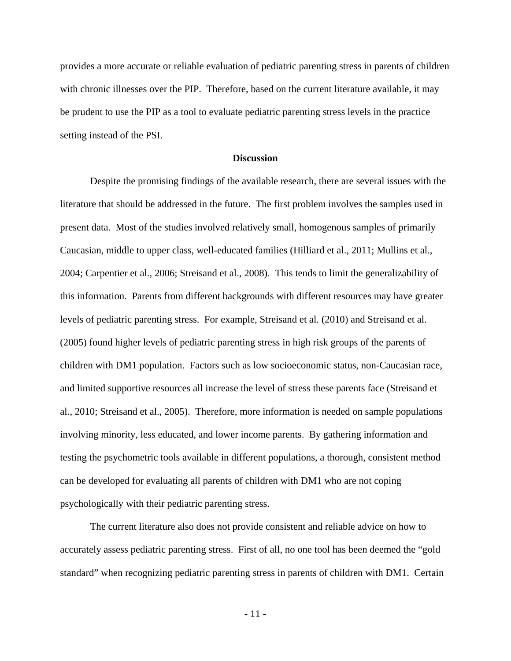provides a more accurate or reliable evaluation of pediatric parenting stress in parents of children with chronic illnesses over the PIP. Therefore, based on the current literature available, it may be prudent to use the PIP as a tool to evaluate pediatric parenting stress levels in the practice setting instead of the PSI.

#### **Discussion**

Despite the promising findings of the available research, there are several issues with the literature that should be addressed in the future. The first problem involves the samples used in present data. Most of the studies involved relatively small, homogenous samples of primarily Caucasian, middle to upper class, well-educated families (Hilliard et al., 2011; Mullins et al., 2004; Carpentier et al., 2006; Streisand et al., 2008). This tends to limit the generalizability of this information. Parents from different backgrounds with different resources may have greater levels of pediatric parenting stress. For example, Streisand et al. (2010) and Streisand et al. (2005) found higher levels of pediatric parenting stress in high risk groups of the parents of children with DM1 population. Factors such as low socioeconomic status, non-Caucasian race, and limited supportive resources all increase the level of stress these parents face (Streisand et al., 2010; Streisand et al., 2005). Therefore, more information is needed on sample populations involving minority, less educated, and lower income parents. By gathering information and testing the psychometric tools available in different populations, a thorough, consistent method can be developed for evaluating all parents of children with DM1 who are not coping psychologically with their pediatric parenting stress.

The current literature also does not provide consistent and reliable advice on how to accurately assess pediatric parenting stress. First of all, no one tool has been deemed the "gold standard" when recognizing pediatric parenting stress in parents of children with DM1. Certain

- 11 -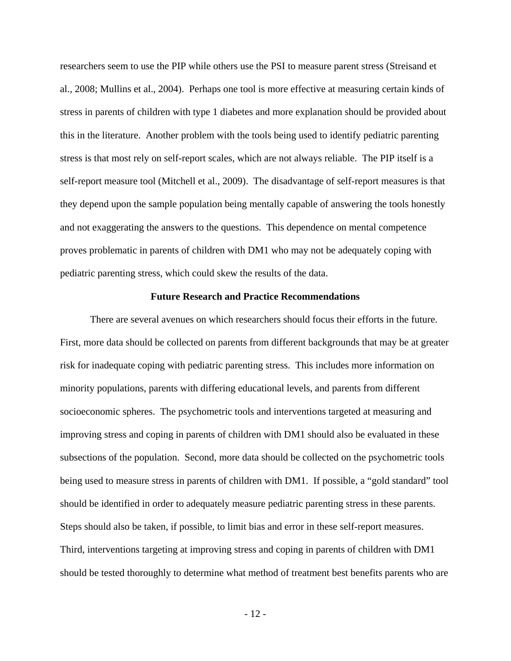researchers seem to use the PIP while others use the PSI to measure parent stress (Streisand et al., 2008; Mullins et al., 2004). Perhaps one tool is more effective at measuring certain kinds of stress in parents of children with type 1 diabetes and more explanation should be provided about this in the literature. Another problem with the tools being used to identify pediatric parenting stress is that most rely on self-report scales, which are not always reliable. The PIP itself is a self-report measure tool (Mitchell et al., 2009). The disadvantage of self-report measures is that they depend upon the sample population being mentally capable of answering the tools honestly and not exaggerating the answers to the questions. This dependence on mental competence proves problematic in parents of children with DM1 who may not be adequately coping with pediatric parenting stress, which could skew the results of the data.

### **Future Research and Practice Recommendations**

There are several avenues on which researchers should focus their efforts in the future. First, more data should be collected on parents from different backgrounds that may be at greater risk for inadequate coping with pediatric parenting stress. This includes more information on minority populations, parents with differing educational levels, and parents from different socioeconomic spheres. The psychometric tools and interventions targeted at measuring and improving stress and coping in parents of children with DM1 should also be evaluated in these subsections of the population. Second, more data should be collected on the psychometric tools being used to measure stress in parents of children with DM1. If possible, a "gold standard" tool should be identified in order to adequately measure pediatric parenting stress in these parents. Steps should also be taken, if possible, to limit bias and error in these self-report measures. Third, interventions targeting at improving stress and coping in parents of children with DM1 should be tested thoroughly to determine what method of treatment best benefits parents who are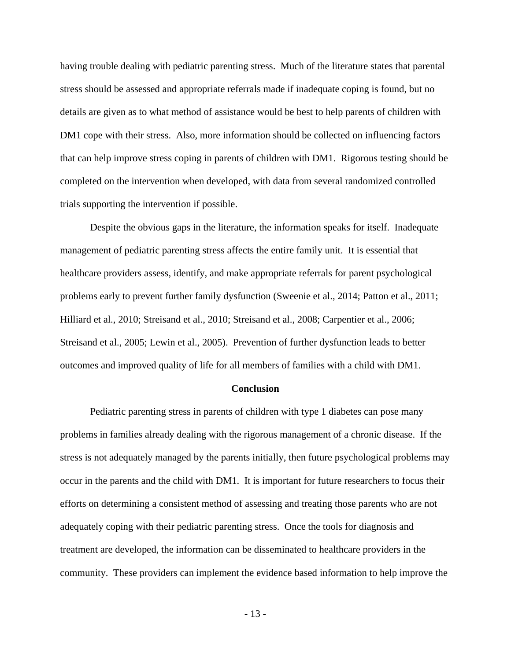having trouble dealing with pediatric parenting stress. Much of the literature states that parental stress should be assessed and appropriate referrals made if inadequate coping is found, but no details are given as to what method of assistance would be best to help parents of children with DM1 cope with their stress. Also, more information should be collected on influencing factors that can help improve stress coping in parents of children with DM1. Rigorous testing should be completed on the intervention when developed, with data from several randomized controlled trials supporting the intervention if possible.

Despite the obvious gaps in the literature, the information speaks for itself. Inadequate management of pediatric parenting stress affects the entire family unit. It is essential that healthcare providers assess, identify, and make appropriate referrals for parent psychological problems early to prevent further family dysfunction (Sweenie et al., 2014; Patton et al., 2011; Hilliard et al., 2010; Streisand et al., 2010; Streisand et al., 2008; Carpentier et al., 2006; Streisand et al., 2005; Lewin et al., 2005). Prevention of further dysfunction leads to better outcomes and improved quality of life for all members of families with a child with DM1.

#### **Conclusion**

Pediatric parenting stress in parents of children with type 1 diabetes can pose many problems in families already dealing with the rigorous management of a chronic disease. If the stress is not adequately managed by the parents initially, then future psychological problems may occur in the parents and the child with DM1. It is important for future researchers to focus their efforts on determining a consistent method of assessing and treating those parents who are not adequately coping with their pediatric parenting stress. Once the tools for diagnosis and treatment are developed, the information can be disseminated to healthcare providers in the community. These providers can implement the evidence based information to help improve the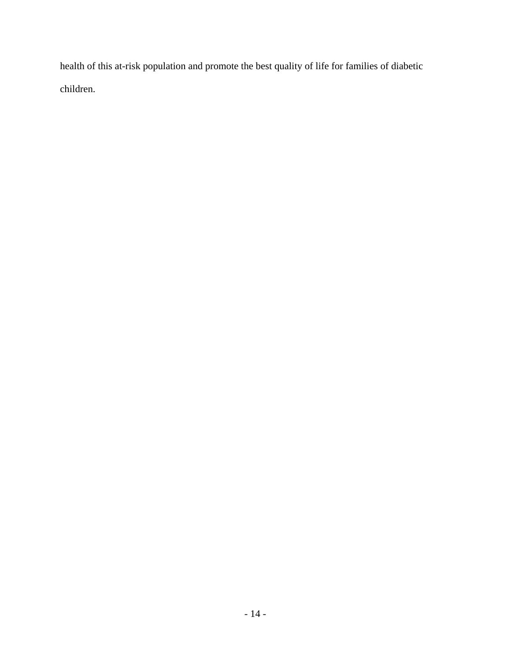health of this at-risk population and promote the best quality of life for families of diabetic children.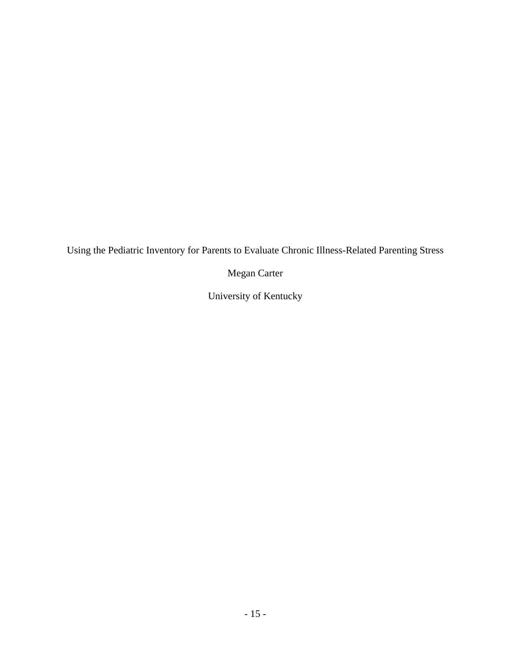Using the Pediatric Inventory for Parents to Evaluate Chronic Illness-Related Parenting Stress

Megan Carter

University of Kentucky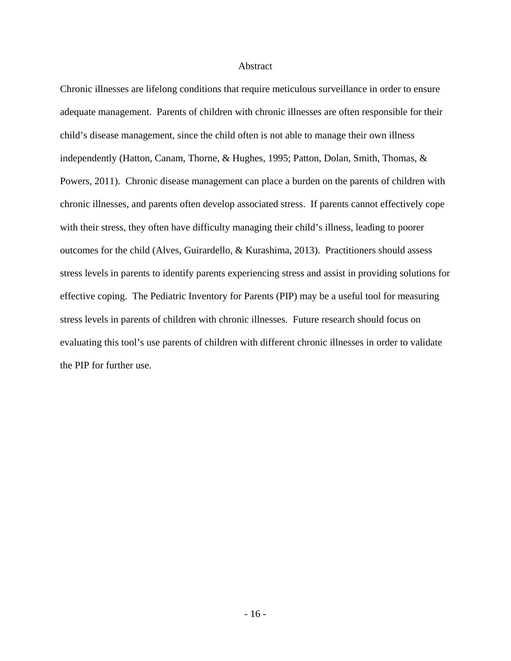### Abstract

Chronic illnesses are lifelong conditions that require meticulous surveillance in order to ensure adequate management. Parents of children with chronic illnesses are often responsible for their child's disease management, since the child often is not able to manage their own illness independently (Hatton, Canam, Thorne, & Hughes, 1995; Patton, Dolan, Smith, Thomas, & Powers, 2011). Chronic disease management can place a burden on the parents of children with chronic illnesses, and parents often develop associated stress. If parents cannot effectively cope with their stress, they often have difficulty managing their child's illness, leading to poorer outcomes for the child (Alves, Guirardello, & Kurashima, 2013). Practitioners should assess stress levels in parents to identify parents experiencing stress and assist in providing solutions for effective coping. The Pediatric Inventory for Parents (PIP) may be a useful tool for measuring stress levels in parents of children with chronic illnesses. Future research should focus on evaluating this tool's use parents of children with different chronic illnesses in order to validate the PIP for further use.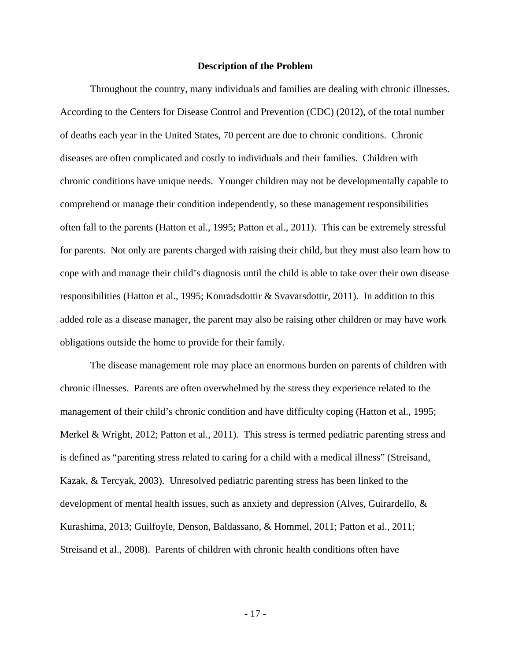### **Description of the Problem**

Throughout the country, many individuals and families are dealing with chronic illnesses. According to the Centers for Disease Control and Prevention (CDC) (2012), of the total number of deaths each year in the United States, 70 percent are due to chronic conditions. Chronic diseases are often complicated and costly to individuals and their families. Children with chronic conditions have unique needs. Younger children may not be developmentally capable to comprehend or manage their condition independently, so these management responsibilities often fall to the parents (Hatton et al., 1995; Patton et al., 2011). This can be extremely stressful for parents. Not only are parents charged with raising their child, but they must also learn how to cope with and manage their child's diagnosis until the child is able to take over their own disease responsibilities (Hatton et al., 1995; Konradsdottir & Svavarsdottir, 2011). In addition to this added role as a disease manager, the parent may also be raising other children or may have work obligations outside the home to provide for their family.

The disease management role may place an enormous burden on parents of children with chronic illnesses. Parents are often overwhelmed by the stress they experience related to the management of their child's chronic condition and have difficulty coping (Hatton et al., 1995; Merkel & Wright, 2012; Patton et al., 2011). This stress is termed pediatric parenting stress and is defined as "parenting stress related to caring for a child with a medical illness" (Streisand, Kazak, & Tercyak, 2003). Unresolved pediatric parenting stress has been linked to the development of mental health issues, such as anxiety and depression (Alves, Guirardello, & Kurashima, 2013; Guilfoyle, Denson, Baldassano, & Hommel, 2011; Patton et al., 2011; Streisand et al., 2008). Parents of children with chronic health conditions often have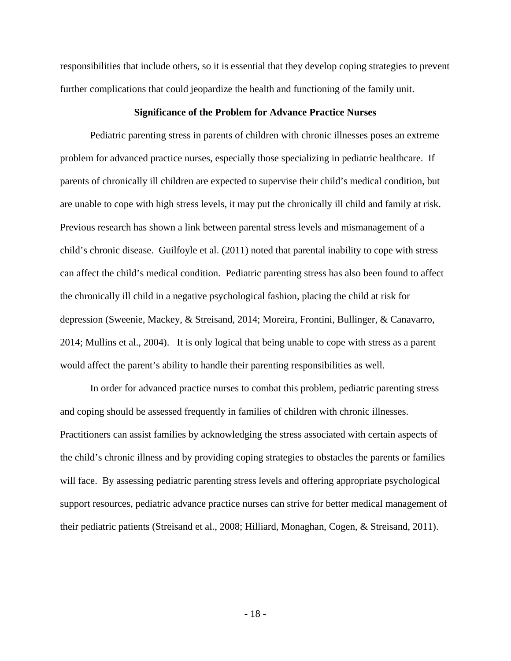responsibilities that include others, so it is essential that they develop coping strategies to prevent further complications that could jeopardize the health and functioning of the family unit.

#### **Significance of the Problem for Advance Practice Nurses**

Pediatric parenting stress in parents of children with chronic illnesses poses an extreme problem for advanced practice nurses, especially those specializing in pediatric healthcare. If parents of chronically ill children are expected to supervise their child's medical condition, but are unable to cope with high stress levels, it may put the chronically ill child and family at risk. Previous research has shown a link between parental stress levels and mismanagement of a child's chronic disease. Guilfoyle et al. (2011) noted that parental inability to cope with stress can affect the child's medical condition. Pediatric parenting stress has also been found to affect the chronically ill child in a negative psychological fashion, placing the child at risk for depression (Sweenie, Mackey, & Streisand, 2014; Moreira, Frontini, Bullinger, & Canavarro, 2014; Mullins et al., 2004). It is only logical that being unable to cope with stress as a parent would affect the parent's ability to handle their parenting responsibilities as well.

In order for advanced practice nurses to combat this problem, pediatric parenting stress and coping should be assessed frequently in families of children with chronic illnesses. Practitioners can assist families by acknowledging the stress associated with certain aspects of the child's chronic illness and by providing coping strategies to obstacles the parents or families will face. By assessing pediatric parenting stress levels and offering appropriate psychological support resources, pediatric advance practice nurses can strive for better medical management of their pediatric patients (Streisand et al., 2008; Hilliard, Monaghan, Cogen, & Streisand, 2011).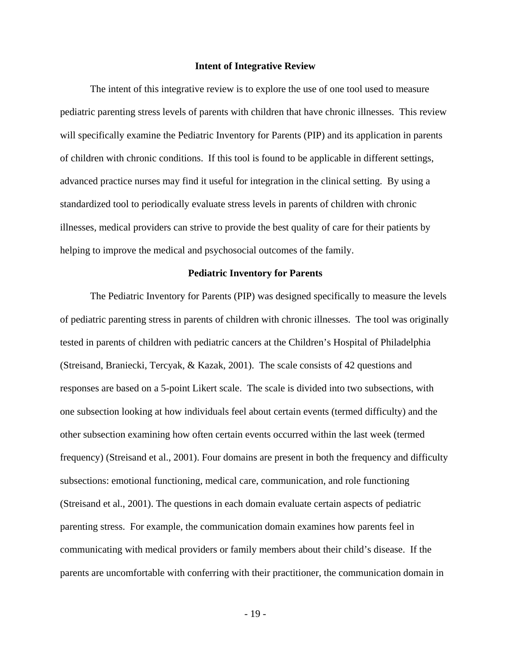#### **Intent of Integrative Review**

The intent of this integrative review is to explore the use of one tool used to measure pediatric parenting stress levels of parents with children that have chronic illnesses. This review will specifically examine the Pediatric Inventory for Parents (PIP) and its application in parents of children with chronic conditions. If this tool is found to be applicable in different settings, advanced practice nurses may find it useful for integration in the clinical setting. By using a standardized tool to periodically evaluate stress levels in parents of children with chronic illnesses, medical providers can strive to provide the best quality of care for their patients by helping to improve the medical and psychosocial outcomes of the family.

#### **Pediatric Inventory for Parents**

The Pediatric Inventory for Parents (PIP) was designed specifically to measure the levels of pediatric parenting stress in parents of children with chronic illnesses. The tool was originally tested in parents of children with pediatric cancers at the Children's Hospital of Philadelphia (Streisand, Braniecki, Tercyak, & Kazak, 2001). The scale consists of 42 questions and responses are based on a 5-point Likert scale. The scale is divided into two subsections, with one subsection looking at how individuals feel about certain events (termed difficulty) and the other subsection examining how often certain events occurred within the last week (termed frequency) (Streisand et al., 2001). Four domains are present in both the frequency and difficulty subsections: emotional functioning, medical care, communication, and role functioning (Streisand et al., 2001). The questions in each domain evaluate certain aspects of pediatric parenting stress. For example, the communication domain examines how parents feel in communicating with medical providers or family members about their child's disease. If the parents are uncomfortable with conferring with their practitioner, the communication domain in

- 19 -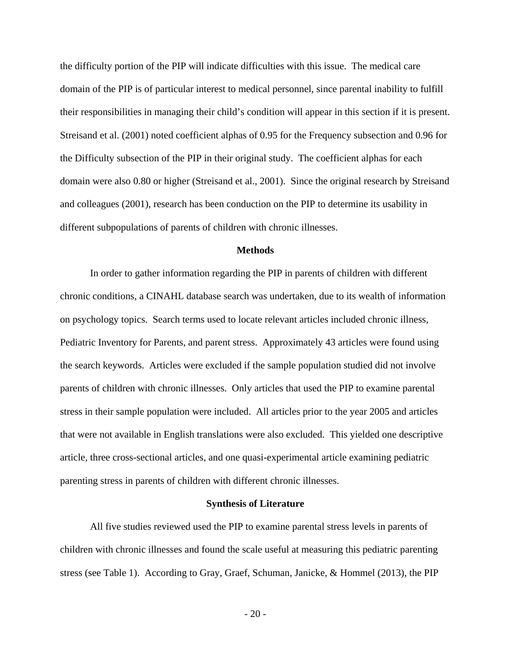the difficulty portion of the PIP will indicate difficulties with this issue. The medical care domain of the PIP is of particular interest to medical personnel, since parental inability to fulfill their responsibilities in managing their child's condition will appear in this section if it is present. Streisand et al. (2001) noted coefficient alphas of 0.95 for the Frequency subsection and 0.96 for the Difficulty subsection of the PIP in their original study. The coefficient alphas for each domain were also 0.80 or higher (Streisand et al., 2001). Since the original research by Streisand and colleagues (2001), research has been conduction on the PIP to determine its usability in different subpopulations of parents of children with chronic illnesses.

#### **Methods**

In order to gather information regarding the PIP in parents of children with different chronic conditions, a CINAHL database search was undertaken, due to its wealth of information on psychology topics. Search terms used to locate relevant articles included chronic illness, Pediatric Inventory for Parents, and parent stress. Approximately 43 articles were found using the search keywords. Articles were excluded if the sample population studied did not involve parents of children with chronic illnesses. Only articles that used the PIP to examine parental stress in their sample population were included. All articles prior to the year 2005 and articles that were not available in English translations were also excluded. This yielded one descriptive article, three cross-sectional articles, and one quasi-experimental article examining pediatric parenting stress in parents of children with different chronic illnesses.

#### **Synthesis of Literature**

All five studies reviewed used the PIP to examine parental stress levels in parents of children with chronic illnesses and found the scale useful at measuring this pediatric parenting stress (see Table 1). According to Gray, Graef, Schuman, Janicke, & Hommel (2013), the PIP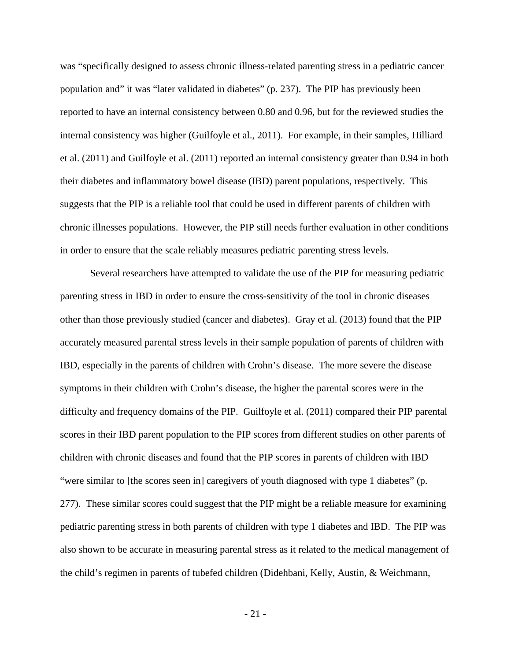was "specifically designed to assess chronic illness-related parenting stress in a pediatric cancer population and" it was "later validated in diabetes" (p. 237). The PIP has previously been reported to have an internal consistency between 0.80 and 0.96, but for the reviewed studies the internal consistency was higher (Guilfoyle et al., 2011). For example, in their samples, Hilliard et al. (2011) and Guilfoyle et al. (2011) reported an internal consistency greater than 0.94 in both their diabetes and inflammatory bowel disease (IBD) parent populations, respectively. This suggests that the PIP is a reliable tool that could be used in different parents of children with chronic illnesses populations. However, the PIP still needs further evaluation in other conditions in order to ensure that the scale reliably measures pediatric parenting stress levels.

Several researchers have attempted to validate the use of the PIP for measuring pediatric parenting stress in IBD in order to ensure the cross-sensitivity of the tool in chronic diseases other than those previously studied (cancer and diabetes). Gray et al. (2013) found that the PIP accurately measured parental stress levels in their sample population of parents of children with IBD, especially in the parents of children with Crohn's disease. The more severe the disease symptoms in their children with Crohn's disease, the higher the parental scores were in the difficulty and frequency domains of the PIP. Guilfoyle et al. (2011) compared their PIP parental scores in their IBD parent population to the PIP scores from different studies on other parents of children with chronic diseases and found that the PIP scores in parents of children with IBD "were similar to [the scores seen in] caregivers of youth diagnosed with type 1 diabetes" (p. 277). These similar scores could suggest that the PIP might be a reliable measure for examining pediatric parenting stress in both parents of children with type 1 diabetes and IBD. The PIP was also shown to be accurate in measuring parental stress as it related to the medical management of the child's regimen in parents of tubefed children (Didehbani, Kelly, Austin, & Weichmann,

- 21 -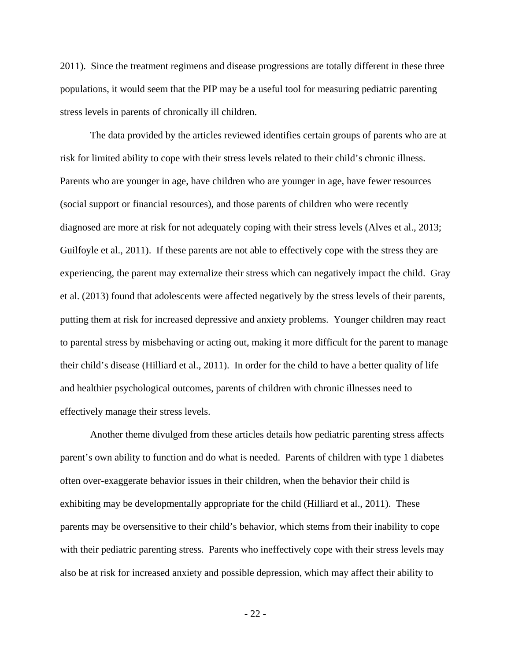2011). Since the treatment regimens and disease progressions are totally different in these three populations, it would seem that the PIP may be a useful tool for measuring pediatric parenting stress levels in parents of chronically ill children.

The data provided by the articles reviewed identifies certain groups of parents who are at risk for limited ability to cope with their stress levels related to their child's chronic illness. Parents who are younger in age, have children who are younger in age, have fewer resources (social support or financial resources), and those parents of children who were recently diagnosed are more at risk for not adequately coping with their stress levels (Alves et al., 2013; Guilfoyle et al., 2011). If these parents are not able to effectively cope with the stress they are experiencing, the parent may externalize their stress which can negatively impact the child. Gray et al. (2013) found that adolescents were affected negatively by the stress levels of their parents, putting them at risk for increased depressive and anxiety problems. Younger children may react to parental stress by misbehaving or acting out, making it more difficult for the parent to manage their child's disease (Hilliard et al., 2011). In order for the child to have a better quality of life and healthier psychological outcomes, parents of children with chronic illnesses need to effectively manage their stress levels.

Another theme divulged from these articles details how pediatric parenting stress affects parent's own ability to function and do what is needed. Parents of children with type 1 diabetes often over-exaggerate behavior issues in their children, when the behavior their child is exhibiting may be developmentally appropriate for the child (Hilliard et al., 2011). These parents may be oversensitive to their child's behavior, which stems from their inability to cope with their pediatric parenting stress. Parents who ineffectively cope with their stress levels may also be at risk for increased anxiety and possible depression, which may affect their ability to

- 22 -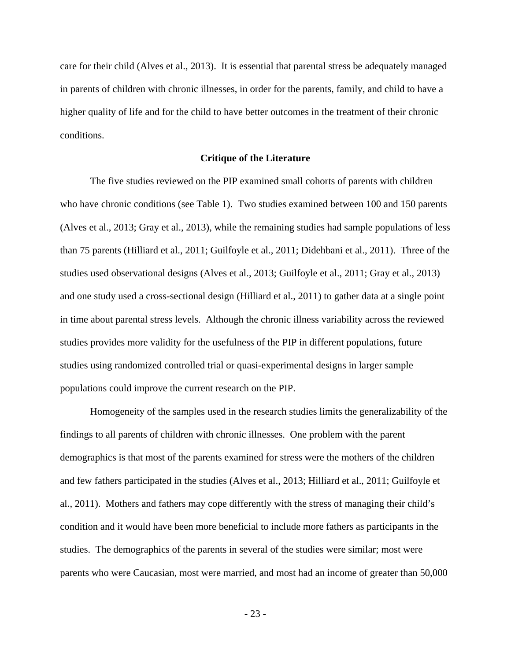care for their child (Alves et al., 2013). It is essential that parental stress be adequately managed in parents of children with chronic illnesses, in order for the parents, family, and child to have a higher quality of life and for the child to have better outcomes in the treatment of their chronic conditions.

## **Critique of the Literature**

The five studies reviewed on the PIP examined small cohorts of parents with children who have chronic conditions (see Table 1). Two studies examined between 100 and 150 parents (Alves et al., 2013; Gray et al., 2013), while the remaining studies had sample populations of less than 75 parents (Hilliard et al., 2011; Guilfoyle et al., 2011; Didehbani et al., 2011). Three of the studies used observational designs (Alves et al., 2013; Guilfoyle et al., 2011; Gray et al., 2013) and one study used a cross-sectional design (Hilliard et al., 2011) to gather data at a single point in time about parental stress levels. Although the chronic illness variability across the reviewed studies provides more validity for the usefulness of the PIP in different populations, future studies using randomized controlled trial or quasi-experimental designs in larger sample populations could improve the current research on the PIP.

Homogeneity of the samples used in the research studies limits the generalizability of the findings to all parents of children with chronic illnesses. One problem with the parent demographics is that most of the parents examined for stress were the mothers of the children and few fathers participated in the studies (Alves et al., 2013; Hilliard et al., 2011; Guilfoyle et al., 2011). Mothers and fathers may cope differently with the stress of managing their child's condition and it would have been more beneficial to include more fathers as participants in the studies. The demographics of the parents in several of the studies were similar; most were parents who were Caucasian, most were married, and most had an income of greater than 50,000

- 23 -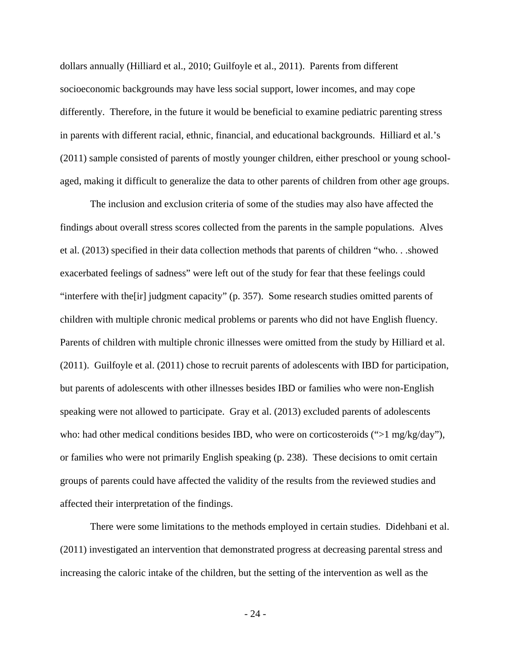dollars annually (Hilliard et al., 2010; Guilfoyle et al., 2011). Parents from different socioeconomic backgrounds may have less social support, lower incomes, and may cope differently. Therefore, in the future it would be beneficial to examine pediatric parenting stress in parents with different racial, ethnic, financial, and educational backgrounds. Hilliard et al.'s (2011) sample consisted of parents of mostly younger children, either preschool or young schoolaged, making it difficult to generalize the data to other parents of children from other age groups.

The inclusion and exclusion criteria of some of the studies may also have affected the findings about overall stress scores collected from the parents in the sample populations. Alves et al. (2013) specified in their data collection methods that parents of children "who. . .showed exacerbated feelings of sadness" were left out of the study for fear that these feelings could "interfere with the[ir] judgment capacity" (p. 357). Some research studies omitted parents of children with multiple chronic medical problems or parents who did not have English fluency. Parents of children with multiple chronic illnesses were omitted from the study by Hilliard et al. (2011). Guilfoyle et al. (2011) chose to recruit parents of adolescents with IBD for participation, but parents of adolescents with other illnesses besides IBD or families who were non-English speaking were not allowed to participate. Gray et al. (2013) excluded parents of adolescents who: had other medical conditions besides IBD, who were on corticosteroids (">1 mg/kg/day"), or families who were not primarily English speaking (p. 238). These decisions to omit certain groups of parents could have affected the validity of the results from the reviewed studies and affected their interpretation of the findings.

There were some limitations to the methods employed in certain studies. Didehbani et al. (2011) investigated an intervention that demonstrated progress at decreasing parental stress and increasing the caloric intake of the children, but the setting of the intervention as well as the

- 24 -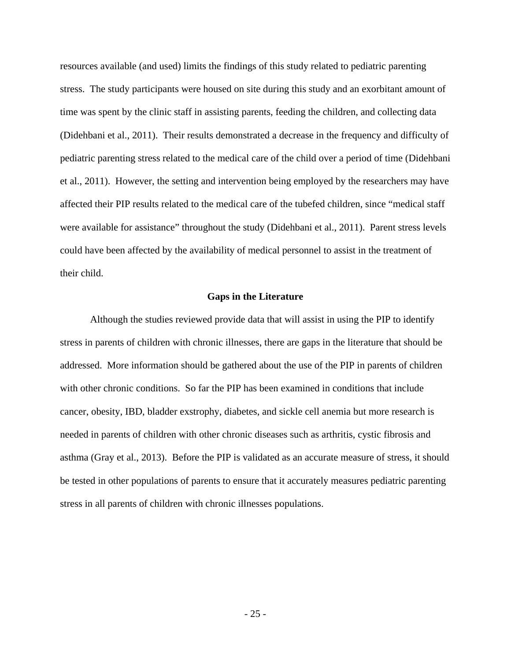resources available (and used) limits the findings of this study related to pediatric parenting stress. The study participants were housed on site during this study and an exorbitant amount of time was spent by the clinic staff in assisting parents, feeding the children, and collecting data (Didehbani et al., 2011). Their results demonstrated a decrease in the frequency and difficulty of pediatric parenting stress related to the medical care of the child over a period of time (Didehbani et al., 2011). However, the setting and intervention being employed by the researchers may have affected their PIP results related to the medical care of the tubefed children, since "medical staff were available for assistance" throughout the study (Didehbani et al., 2011). Parent stress levels could have been affected by the availability of medical personnel to assist in the treatment of their child.

## **Gaps in the Literature**

Although the studies reviewed provide data that will assist in using the PIP to identify stress in parents of children with chronic illnesses, there are gaps in the literature that should be addressed. More information should be gathered about the use of the PIP in parents of children with other chronic conditions. So far the PIP has been examined in conditions that include cancer, obesity, IBD, bladder exstrophy, diabetes, and sickle cell anemia but more research is needed in parents of children with other chronic diseases such as arthritis, cystic fibrosis and asthma (Gray et al., 2013). Before the PIP is validated as an accurate measure of stress, it should be tested in other populations of parents to ensure that it accurately measures pediatric parenting stress in all parents of children with chronic illnesses populations.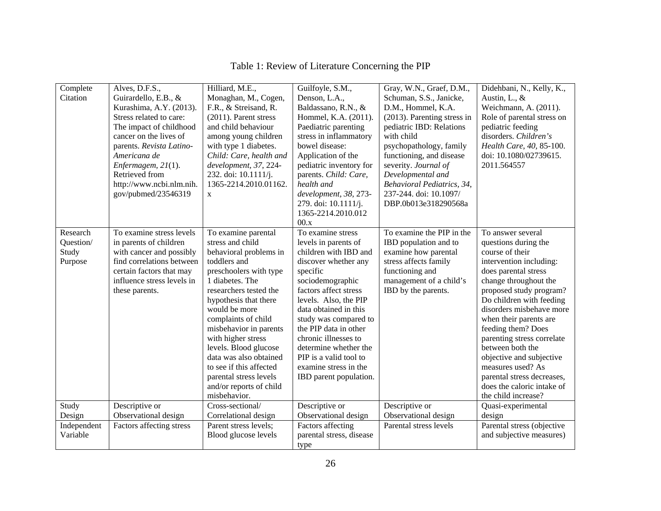| Complete    | Alves, D.F.S.,             | Hilliard, M.E.,          | Guilfoyle, S.M.,         | Gray, W.N., Graef, D.M.,    | Didehbani, N., Kelly, K.,  |
|-------------|----------------------------|--------------------------|--------------------------|-----------------------------|----------------------------|
| Citation    | Guirardello, E.B., &       | Monaghan, M., Cogen,     | Denson, L.A.,            | Schuman, S.S., Janicke,     | Austin, L., &              |
|             | Kurashima, A.Y. (2013).    | F.R., & Streisand, R.    | Baldassano, R.N., &      | D.M., Hommel, K.A.          | Weichmann, A. (2011).      |
|             | Stress related to care:    | $(2011)$ . Parent stress | Hommel, K.A. (2011).     | (2013). Parenting stress in | Role of parental stress on |
|             | The impact of childhood    | and child behaviour      | Paediatric parenting     | pediatric IBD: Relations    | pediatric feeding          |
|             | cancer on the lives of     | among young children     | stress in inflammatory   | with child                  | disorders. Children's      |
|             | parents. Revista Latino-   | with type 1 diabetes.    | bowel disease:           | psychopathology, family     | Health Care, 40, 85-100.   |
|             | Americana de               | Child: Care, health and  | Application of the       | functioning, and disease    | doi: 10.1080/02739615.     |
|             | Enfermagem, 21(1).         | development, 37, 224-    | pediatric inventory for  | severity. Journal of        | 2011.564557                |
|             | Retrieved from             | 232. doi: 10.1111/j.     | parents. Child: Care,    | Developmental and           |                            |
|             | http://www.ncbi.nlm.nih.   | 1365-2214.2010.01162.    | health and               | Behavioral Pediatrics, 34,  |                            |
|             | gov/pubmed/23546319        | $\mathbf X$              | development, 38, 273-    | 237-244. doi: 10.1097/      |                            |
|             |                            |                          | 279. doi: 10.1111/j.     | DBP.0b013e318290568a        |                            |
|             |                            |                          | 1365-2214.2010.012       |                             |                            |
|             |                            |                          | 00.x                     |                             |                            |
| Research    | To examine stress levels   | To examine parental      | To examine stress        | To examine the PIP in the   | To answer several          |
| Question/   | in parents of children     | stress and child         | levels in parents of     | IBD population and to       | questions during the       |
| Study       | with cancer and possibly   | behavioral problems in   | children with IBD and    | examine how parental        | course of their            |
| Purpose     | find correlations between  | toddlers and             | discover whether any     | stress affects family       | intervention including:    |
|             | certain factors that may   | preschoolers with type   | specific                 | functioning and             | does parental stress       |
|             | influence stress levels in | 1 diabetes. The          | sociodemographic         | management of a child's     | change throughout the      |
|             | these parents.             | researchers tested the   | factors affect stress    | IBD by the parents.         | proposed study program?    |
|             |                            | hypothesis that there    | levels. Also, the PIP    |                             | Do children with feeding   |
|             |                            | would be more            | data obtained in this    |                             | disorders misbehave more   |
|             |                            | complaints of child      | study was compared to    |                             | when their parents are     |
|             |                            | misbehavior in parents   | the PIP data in other    |                             | feeding them? Does         |
|             |                            | with higher stress       | chronic illnesses to     |                             | parenting stress correlate |
|             |                            | levels. Blood glucose    | determine whether the    |                             | between both the           |
|             |                            | data was also obtained   | PIP is a valid tool to   |                             | objective and subjective   |
|             |                            | to see if this affected  | examine stress in the    |                             | measures used? As          |
|             |                            | parental stress levels   | IBD parent population.   |                             | parental stress decreases, |
|             |                            | and/or reports of child  |                          |                             | does the caloric intake of |
|             |                            | misbehavior.             |                          |                             | the child increase?        |
| Study       | Descriptive or             | Cross-sectional/         | Descriptive or           | Descriptive or              | Quasi-experimental         |
| Design      | Observational design       | Correlational design     | Observational design     | Observational design        | design                     |
| Independent | Factors affecting stress   | Parent stress levels;    | Factors affecting        | Parental stress levels      | Parental stress (objective |
| Variable    |                            | Blood glucose levels     | parental stress, disease |                             | and subjective measures)   |
|             |                            |                          | type                     |                             |                            |

Table 1: Review of Literature Concerning the PIP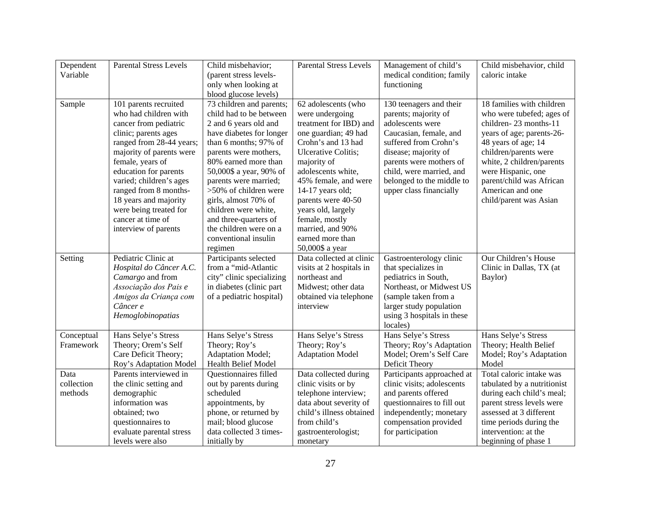| Dependent<br>Variable         | <b>Parental Stress Levels</b>                                                                                                                                                                                                                                                                                                                            | Child misbehavior;<br>(parent stress levels-<br>only when looking at<br>blood glucose levels)                                                                                                                                                                                                                                                                                                         | <b>Parental Stress Levels</b>                                                                                                                                                                                                                                                                                                                          | Management of child's<br>medical condition; family<br>functioning                                                                                                                                                                                             | Child misbehavior, child<br>caloric intake                                                                                                                                                                                                                                                |
|-------------------------------|----------------------------------------------------------------------------------------------------------------------------------------------------------------------------------------------------------------------------------------------------------------------------------------------------------------------------------------------------------|-------------------------------------------------------------------------------------------------------------------------------------------------------------------------------------------------------------------------------------------------------------------------------------------------------------------------------------------------------------------------------------------------------|--------------------------------------------------------------------------------------------------------------------------------------------------------------------------------------------------------------------------------------------------------------------------------------------------------------------------------------------------------|---------------------------------------------------------------------------------------------------------------------------------------------------------------------------------------------------------------------------------------------------------------|-------------------------------------------------------------------------------------------------------------------------------------------------------------------------------------------------------------------------------------------------------------------------------------------|
| Sample                        | 101 parents recruited<br>who had children with<br>cancer from pediatric<br>clinic; parents ages<br>ranged from 28-44 years;<br>majority of parents were<br>female, years of<br>education for parents<br>varied; children's ages<br>ranged from 8 months-<br>18 years and majority<br>were being treated for<br>cancer at time of<br>interview of parents | 73 children and parents;<br>child had to be between<br>2 and 6 years old and<br>have diabetes for longer<br>than 6 months; 97% of<br>parents were mothers,<br>80% earned more than<br>50,000\$ a year, 90% of<br>parents were married;<br>>50% of children were<br>girls, almost 70% of<br>children were white,<br>and three-quarters of<br>the children were on a<br>conventional insulin<br>regimen | 62 adolescents (who<br>were undergoing<br>treatment for IBD) and<br>one guardian; 49 had<br>Crohn's and 13 had<br><b>Ulcerative Colitis;</b><br>majority of<br>adolescents white,<br>45% female, and were<br>14-17 years old;<br>parents were 40-50<br>years old, largely<br>female, mostly<br>married, and 90%<br>earned more than<br>50,000\$ a year | 130 teenagers and their<br>parents; majority of<br>adolescents were<br>Caucasian, female, and<br>suffered from Crohn's<br>disease; majority of<br>parents were mothers of<br>child, were married, and<br>belonged to the middle to<br>upper class financially | 18 families with children<br>who were tubefed; ages of<br>children-23 months-11<br>years of age; parents-26-<br>48 years of age; 14<br>children/parents were<br>white, 2 children/parents<br>were Hispanic, one<br>parent/child was African<br>American and one<br>child/parent was Asian |
| Setting                       | Pediatric Clinic at<br>Hospital do Câncer A.C.<br>Camargo and from<br>Associação dos Pais e<br>Amigos da Criança com<br>Câncer e<br>Hemoglobinopatias                                                                                                                                                                                                    | Participants selected<br>from a "mid-Atlantic<br>city" clinic specializing<br>in diabetes (clinic part<br>of a pediatric hospital)                                                                                                                                                                                                                                                                    | Data collected at clinic<br>visits at 2 hospitals in<br>northeast and<br>Midwest; other data<br>obtained via telephone<br>interview                                                                                                                                                                                                                    | Gastroenterology clinic<br>that specializes in<br>pediatrics in South,<br>Northeast, or Midwest US<br>(sample taken from a<br>larger study population<br>using 3 hospitals in these<br>locales)                                                               | Our Children's House<br>Clinic in Dallas, TX (at<br>Baylor)                                                                                                                                                                                                                               |
| Conceptual<br>Framework       | Hans Selye's Stress<br>Theory; Orem's Self<br>Care Deficit Theory;<br>Roy's Adaptation Model                                                                                                                                                                                                                                                             | Hans Selye's Stress<br>Theory; Roy's<br>Adaptation Model;<br>Health Belief Model                                                                                                                                                                                                                                                                                                                      | Hans Selye's Stress<br>Theory; Roy's<br><b>Adaptation Model</b>                                                                                                                                                                                                                                                                                        | Hans Selye's Stress<br>Theory; Roy's Adaptation<br>Model; Orem's Self Care<br>Deficit Theory                                                                                                                                                                  | Hans Selye's Stress<br>Theory; Health Belief<br>Model; Roy's Adaptation<br>Model                                                                                                                                                                                                          |
| Data<br>collection<br>methods | Parents interviewed in<br>the clinic setting and<br>demographic<br>information was<br>obtained; two<br>questionnaires to<br>evaluate parental stress<br>levels were also                                                                                                                                                                                 | Questionnaires filled<br>out by parents during<br>scheduled<br>appointments, by<br>phone, or returned by<br>mail; blood glucose<br>data collected 3 times-<br>initially by                                                                                                                                                                                                                            | Data collected during<br>clinic visits or by<br>telephone interview;<br>data about severity of<br>child's illness obtained<br>from child's<br>gastroenterologist;<br>monetary                                                                                                                                                                          | Participants approached at<br>clinic visits; adolescents<br>and parents offered<br>questionnaires to fill out<br>independently; monetary<br>compensation provided<br>for participation                                                                        | Total caloric intake was<br>tabulated by a nutritionist<br>during each child's meal;<br>parent stress levels were<br>assessed at 3 different<br>time periods during the<br>intervention: at the<br>beginning of phase 1                                                                   |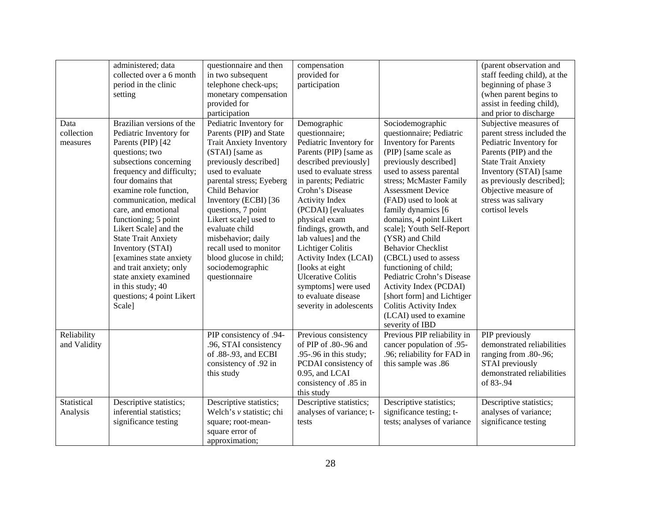|                                | administered; data<br>collected over a 6 month<br>period in the clinic<br>setting                                                                                                                                                                                                                                                                                                                                                                                                                 | questionnaire and then<br>in two subsequent<br>telephone check-ups;<br>monetary compensation<br>provided for<br>participation                                                                                                                                                                                                                                                                               | compensation<br>provided for<br>participation                                                                                                                                                                                                                                                                                                                                                                                                                                     |                                                                                                                                                                                                                                                                                                                                                                                                                                                                                                                                                                                             | (parent observation and<br>staff feeding child), at the<br>beginning of phase 3<br>(when parent begins to<br>assist in feeding child),<br>and prior to discharge                                                                                                |
|--------------------------------|---------------------------------------------------------------------------------------------------------------------------------------------------------------------------------------------------------------------------------------------------------------------------------------------------------------------------------------------------------------------------------------------------------------------------------------------------------------------------------------------------|-------------------------------------------------------------------------------------------------------------------------------------------------------------------------------------------------------------------------------------------------------------------------------------------------------------------------------------------------------------------------------------------------------------|-----------------------------------------------------------------------------------------------------------------------------------------------------------------------------------------------------------------------------------------------------------------------------------------------------------------------------------------------------------------------------------------------------------------------------------------------------------------------------------|---------------------------------------------------------------------------------------------------------------------------------------------------------------------------------------------------------------------------------------------------------------------------------------------------------------------------------------------------------------------------------------------------------------------------------------------------------------------------------------------------------------------------------------------------------------------------------------------|-----------------------------------------------------------------------------------------------------------------------------------------------------------------------------------------------------------------------------------------------------------------|
| Data<br>collection<br>measures | Brazilian versions of the<br>Pediatric Inventory for<br>Parents (PIP) [42<br>questions; two<br>subsections concerning<br>frequency and difficulty;<br>four domains that<br>examine role function,<br>communication, medical<br>care, and emotional<br>functioning; 5 point<br>Likert Scale] and the<br><b>State Trait Anxiety</b><br>Inventory (STAI)<br>[examines state anxiety<br>and trait anxiety; only<br>state anxiety examined<br>in this study; 40<br>questions; 4 point Likert<br>Scale] | Pediatric Inventory for<br>Parents (PIP) and State<br><b>Trait Anxiety Inventory</b><br>(STAI) [same as<br>previously described]<br>used to evaluate<br>parental stress; Eyeberg<br>Child Behavior<br>Inventory (ECBI) [36<br>questions, 7 point<br>Likert scale] used to<br>evaluate child<br>misbehavior; daily<br>recall used to monitor<br>blood glucose in child;<br>sociodemographic<br>questionnaire | Demographic<br>questionnaire;<br>Pediatric Inventory for<br>Parents (PIP) [same as<br>described previously]<br>used to evaluate stress<br>in parents; Pediatric<br>Crohn's Disease<br><b>Activity Index</b><br>(PCDAI) [evaluates<br>physical exam<br>findings, growth, and<br>lab values] and the<br><b>Lichtiger Colitis</b><br>Activity Index (LCAI)<br>[looks at eight]<br><b>Ulcerative Colitis</b><br>symptoms] were used<br>to evaluate disease<br>severity in adolescents | Sociodemographic<br>questionnaire; Pediatric<br><b>Inventory for Parents</b><br>(PIP) [same scale as<br>previously described]<br>used to assess parental<br>stress; McMaster Family<br><b>Assessment Device</b><br>(FAD) used to look at<br>family dynamics [6<br>domains, 4 point Likert<br>scale]; Youth Self-Report<br>(YSR) and Child<br><b>Behavior Checklist</b><br>(CBCL) used to assess<br>functioning of child;<br>Pediatric Crohn's Disease<br>Activity Index (PCDAI)<br>[short form] and Lichtiger<br><b>Colitis Activity Index</b><br>(LCAI) used to examine<br>severity of IBD | Subjective measures of<br>parent stress included the<br>Pediatric Inventory for<br>Parents (PIP) and the<br><b>State Trait Anxiety</b><br>Inventory (STAI) [same<br>as previously described];<br>Objective measure of<br>stress was salivary<br>cortisol levels |
| Reliability<br>and Validity    |                                                                                                                                                                                                                                                                                                                                                                                                                                                                                                   | PIP consistency of .94-<br>.96, STAI consistency<br>of .88-.93, and ECBI<br>consistency of .92 in<br>this study                                                                                                                                                                                                                                                                                             | Previous consistency<br>of PIP of .80-.96 and<br>.95-.96 in this study;<br>PCDAI consistency of<br>0.95, and LCAI<br>consistency of .85 in<br>this study                                                                                                                                                                                                                                                                                                                          | Previous PIP reliability in<br>cancer population of .95-<br>.96; reliability for FAD in<br>this sample was .86                                                                                                                                                                                                                                                                                                                                                                                                                                                                              | PIP previously<br>demonstrated reliabilities<br>ranging from .80-.96;<br>STAI previously<br>demonstrated reliabilities<br>of 83-.94                                                                                                                             |
| Statistical<br>Analysis        | Descriptive statistics;<br>inferential statistics;<br>significance testing                                                                                                                                                                                                                                                                                                                                                                                                                        | Descriptive statistics;<br>Welch's v statistic; chi<br>square; root-mean-<br>square error of<br>approximation;                                                                                                                                                                                                                                                                                              | Descriptive statistics;<br>analyses of variance; t-<br>tests                                                                                                                                                                                                                                                                                                                                                                                                                      | Descriptive statistics;<br>significance testing; t-<br>tests; analyses of variance                                                                                                                                                                                                                                                                                                                                                                                                                                                                                                          | Descriptive statistics;<br>analyses of variance;<br>significance testing                                                                                                                                                                                        |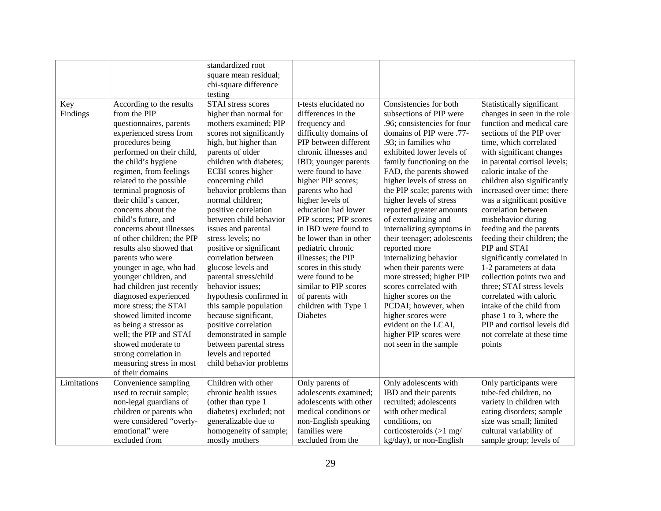| Key<br>Findings | According to the results<br>from the PIP<br>questionnaires, parents<br>experienced stress from<br>procedures being<br>performed on their child,<br>the child's hygiene<br>regimen, from feelings<br>related to the possible<br>terminal prognosis of<br>their child's cancer,<br>concerns about the<br>child's future, and<br>concerns about illnesses<br>of other children; the PIP<br>results also showed that<br>parents who were<br>younger in age, who had | standardized root<br>square mean residual;<br>chi-square difference<br>testing<br><b>STAI</b> stress scores<br>higher than normal for<br>mothers examined; PIP<br>scores not significantly<br>high, but higher than<br>parents of older<br>children with diabetes;<br>ECBI scores higher<br>concerning child<br>behavior problems than<br>normal children;<br>positive correlation<br>between child behavior<br>issues and parental<br>stress levels; no<br>positive or significant<br>correlation between<br>glucose levels and | t-tests elucidated no<br>differences in the<br>frequency and<br>difficulty domains of<br>PIP between different<br>chronic illnesses and<br>IBD; younger parents<br>were found to have<br>higher PIP scores;<br>parents who had<br>higher levels of<br>education had lower<br>PIP scores; PIP scores<br>in IBD were found to<br>be lower than in other<br>pediatric chronic<br>illnesses; the PIP<br>scores in this study | Consistencies for both<br>subsections of PIP were<br>.96; consistencies for four<br>domains of PIP were .77-<br>.93; in families who<br>exhibited lower levels of<br>family functioning on the<br>FAD, the parents showed<br>higher levels of stress on<br>the PIP scale; parents with<br>higher levels of stress<br>reported greater amounts<br>of externalizing and<br>internalizing symptoms in<br>their teenager; adolescents<br>reported more<br>internalizing behavior<br>when their parents were | Statistically significant<br>changes in seen in the role<br>function and medical care<br>sections of the PIP over<br>time, which correlated<br>with significant changes<br>in parental cortisol levels;<br>caloric intake of the<br>children also significantly<br>increased over time; there<br>was a significant positive<br>correlation between<br>misbehavior during<br>feeding and the parents<br>feeding their children; the<br>PIP and STAI<br>significantly correlated in<br>1-2 parameters at data |
|-----------------|-----------------------------------------------------------------------------------------------------------------------------------------------------------------------------------------------------------------------------------------------------------------------------------------------------------------------------------------------------------------------------------------------------------------------------------------------------------------|----------------------------------------------------------------------------------------------------------------------------------------------------------------------------------------------------------------------------------------------------------------------------------------------------------------------------------------------------------------------------------------------------------------------------------------------------------------------------------------------------------------------------------|--------------------------------------------------------------------------------------------------------------------------------------------------------------------------------------------------------------------------------------------------------------------------------------------------------------------------------------------------------------------------------------------------------------------------|---------------------------------------------------------------------------------------------------------------------------------------------------------------------------------------------------------------------------------------------------------------------------------------------------------------------------------------------------------------------------------------------------------------------------------------------------------------------------------------------------------|-------------------------------------------------------------------------------------------------------------------------------------------------------------------------------------------------------------------------------------------------------------------------------------------------------------------------------------------------------------------------------------------------------------------------------------------------------------------------------------------------------------|
|                 | diagnosed experienced<br>more stress; the STAI<br>showed limited income<br>as being a stressor as<br>well; the PIP and STAI                                                                                                                                                                                                                                                                                                                                     | hypothesis confirmed in<br>this sample population<br>because significant,<br>positive correlation<br>demonstrated in sample                                                                                                                                                                                                                                                                                                                                                                                                      | of parents with<br>children with Type 1<br><b>Diabetes</b>                                                                                                                                                                                                                                                                                                                                                               | higher scores on the<br>PCDAI; however, when<br>higher scores were<br>evident on the LCAI,<br>higher PIP scores were                                                                                                                                                                                                                                                                                                                                                                                    | correlated with caloric<br>intake of the child from<br>phase 1 to 3, where the<br>PIP and cortisol levels did<br>not correlate at these time                                                                                                                                                                                                                                                                                                                                                                |
|                 | showed moderate to<br>strong correlation in<br>measuring stress in most<br>of their domains                                                                                                                                                                                                                                                                                                                                                                     | between parental stress<br>levels and reported<br>child behavior problems                                                                                                                                                                                                                                                                                                                                                                                                                                                        |                                                                                                                                                                                                                                                                                                                                                                                                                          | not seen in the sample                                                                                                                                                                                                                                                                                                                                                                                                                                                                                  | points                                                                                                                                                                                                                                                                                                                                                                                                                                                                                                      |
| Limitations     | Convenience sampling<br>used to recruit sample;<br>non-legal guardians of<br>children or parents who<br>were considered "overly-<br>emotional" were                                                                                                                                                                                                                                                                                                             | Children with other<br>chronic health issues<br>(other than type 1<br>diabetes) excluded; not<br>generalizable due to<br>homogeneity of sample;                                                                                                                                                                                                                                                                                                                                                                                  | Only parents of<br>adolescents examined;<br>adolescents with other<br>medical conditions or<br>non-English speaking<br>families were                                                                                                                                                                                                                                                                                     | Only adolescents with<br>IBD and their parents<br>recruited; adolescents<br>with other medical<br>conditions, on<br>corticosteroids (>1 mg/                                                                                                                                                                                                                                                                                                                                                             | Only participants were<br>tube-fed children, no<br>variety in children with<br>eating disorders; sample<br>size was small; limited<br>cultural variability of                                                                                                                                                                                                                                                                                                                                               |
|                 | excluded from                                                                                                                                                                                                                                                                                                                                                                                                                                                   | mostly mothers                                                                                                                                                                                                                                                                                                                                                                                                                                                                                                                   | excluded from the                                                                                                                                                                                                                                                                                                                                                                                                        | $kg/day$ , or non-English                                                                                                                                                                                                                                                                                                                                                                                                                                                                               | sample group; levels of                                                                                                                                                                                                                                                                                                                                                                                                                                                                                     |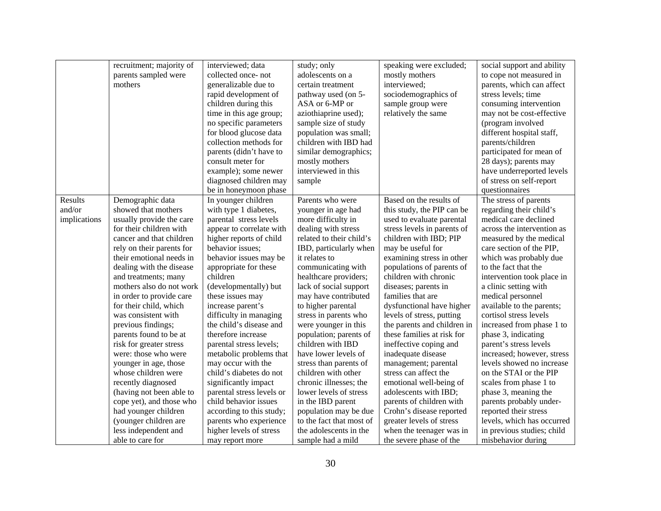|              | recruitment; majority of  | interviewed; data         | study; only              | speaking were excluded;     | social support and ability |
|--------------|---------------------------|---------------------------|--------------------------|-----------------------------|----------------------------|
|              | parents sampled were      | collected once-not        | adolescents on a         | mostly mothers              | to cope not measured in    |
|              | mothers                   | generalizable due to      | certain treatment        | interviewed;                | parents, which can affect  |
|              |                           | rapid development of      | pathway used (on 5-      | sociodemographics of        | stress levels; time        |
|              |                           | children during this      | ASA or 6-MP or           | sample group were           | consuming intervention     |
|              |                           | time in this age group;   | aziothiaprine used);     | relatively the same         | may not be cost-effective  |
|              |                           | no specific parameters    | sample size of study     |                             | (program involved          |
|              |                           | for blood glucose data    | population was small;    |                             | different hospital staff,  |
|              |                           | collection methods for    | children with IBD had    |                             | parents/children           |
|              |                           | parents (didn't have to   | similar demographics;    |                             | participated for mean of   |
|              |                           | consult meter for         | mostly mothers           |                             | 28 days); parents may      |
|              |                           | example); some newer      | interviewed in this      |                             | have underreported levels  |
|              |                           | diagnosed children may    | sample                   |                             | of stress on self-report   |
|              |                           | be in honeymoon phase     |                          |                             | questionnaires             |
| Results      | Demographic data          | In younger children       | Parents who were         | Based on the results of     | The stress of parents      |
| and/or       | showed that mothers       | with type 1 diabetes,     | younger in age had       | this study, the PIP can be  | regarding their child's    |
| implications | usually provide the care  | parental stress levels    | more difficulty in       | used to evaluate parental   | medical care declined      |
|              | for their children with   | appear to correlate with  | dealing with stress      | stress levels in parents of | across the intervention as |
|              | cancer and that children  | higher reports of child   | related to their child's | children with IBD; PIP      | measured by the medical    |
|              | rely on their parents for | behavior issues:          | IBD, particularly when   | may be useful for           | care section of the PIP,   |
|              | their emotional needs in  | behavior issues may be    | it relates to            | examining stress in other   | which was probably due     |
|              | dealing with the disease  | appropriate for these     | communicating with       | populations of parents of   | to the fact that the       |
|              | and treatments; many      | children                  | healthcare providers;    | children with chronic       | intervention took place in |
|              | mothers also do not work  | (developmentally) but     | lack of social support   | diseases; parents in        | a clinic setting with      |
|              | in order to provide care  | these issues may          | may have contributed     | families that are           | medical personnel          |
|              | for their child, which    | increase parent's         | to higher parental       | dysfunctional have higher   | available to the parents;  |
|              | was consistent with       | difficulty in managing    | stress in parents who    | levels of stress, putting   | cortisol stress levels     |
|              | previous findings;        | the child's disease and   | were younger in this     | the parents and children in | increased from phase 1 to  |
|              | parents found to be at    | therefore increase        | population; parents of   | these families at risk for  | phase 3, indicating        |
|              | risk for greater stress   | parental stress levels;   | children with IBD        | ineffective coping and      | parent's stress levels     |
|              | were: those who were      | metabolic problems that   | have lower levels of     | inadequate disease          | increased; however, stress |
|              | younger in age, those     | may occur with the        | stress than parents of   | management; parental        | levels showed no increase  |
|              | whose children were       | child's diabetes do not   | children with other      | stress can affect the       | on the STAI or the PIP     |
|              | recently diagnosed        | significantly impact      | chronic illnesses; the   | emotional well-being of     | scales from phase 1 to     |
|              | (having not been able to  | parental stress levels or | lower levels of stress   | adolescents with IBD;       | phase 3, meaning the       |
|              | cope yet), and those who  | child behavior issues     | in the IBD parent        | parents of children with    | parents probably under-    |
|              | had younger children      | according to this study;  | population may be due    | Crohn's disease reported    | reported their stress      |
|              | (younger children are     | parents who experience    | to the fact that most of | greater levels of stress    | levels, which has occurred |
|              | less independent and      | higher levels of stress   | the adolescents in the   | when the teenager was in    | in previous studies; child |
|              | able to care for          | may report more           | sample had a mild        | the severe phase of the     | misbehavior during         |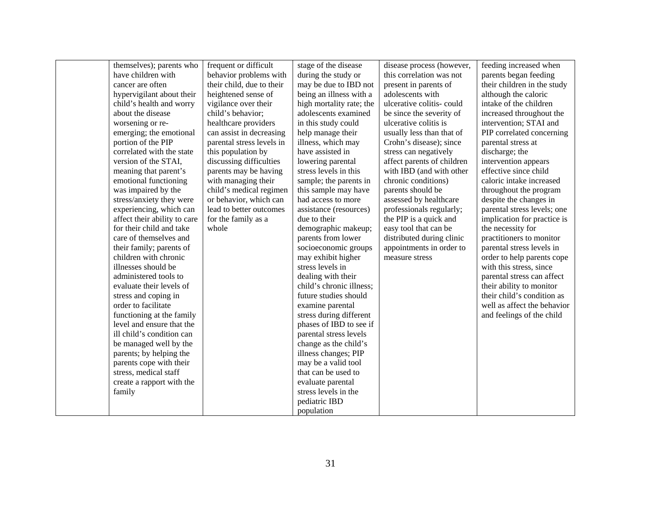| themselves); parents who     | frequent or difficult     | stage of the disease     | disease process (however,  | feeding increased when      |
|------------------------------|---------------------------|--------------------------|----------------------------|-----------------------------|
| have children with           | behavior problems with    | during the study or      | this correlation was not   | parents began feeding       |
| cancer are often             | their child, due to their | may be due to IBD not    | present in parents of      | their children in the study |
| hypervigilant about their    | heightened sense of       | being an illness with a  | adolescents with           | although the caloric        |
| child's health and worry     | vigilance over their      | high mortality rate; the | ulcerative colitis-could   | intake of the children      |
| about the disease            | child's behavior;         | adolescents examined     | be since the severity of   | increased throughout the    |
| worsening or re-             | healthcare providers      | in this study could      | ulcerative colitis is      | intervention; STAI and      |
| emerging; the emotional      | can assist in decreasing  | help manage their        | usually less than that of  | PIP correlated concerning   |
| portion of the PIP           | parental stress levels in | illness, which may       | Crohn's disease); since    | parental stress at          |
| correlated with the state    | this population by        | have assisted in         | stress can negatively      | discharge; the              |
| version of the STAI,         | discussing difficulties   | lowering parental        | affect parents of children | intervention appears        |
| meaning that parent's        | parents may be having     | stress levels in this    | with IBD (and with other   | effective since child       |
| emotional functioning        | with managing their       | sample; the parents in   | chronic conditions)        | caloric intake increased    |
| was impaired by the          | child's medical regimen   | this sample may have     | parents should be          | throughout the program      |
| stress/anxiety they were     | or behavior, which can    | had access to more       | assessed by healthcare     | despite the changes in      |
| experiencing, which can      | lead to better outcomes   | assistance (resources)   | professionals regularly;   | parental stress levels; one |
| affect their ability to care | for the family as a       | due to their             | the PIP is a quick and     | implication for practice is |
| for their child and take     | whole                     | demographic makeup;      | easy tool that can be      | the necessity for           |
| care of themselves and       |                           | parents from lower       | distributed during clinic  | practitioners to monitor    |
| their family; parents of     |                           | socioeconomic groups     | appointments in order to   | parental stress levels in   |
| children with chronic        |                           | may exhibit higher       | measure stress             | order to help parents cope  |
| illnesses should be          |                           | stress levels in         |                            | with this stress, since     |
| administered tools to        |                           | dealing with their       |                            | parental stress can affect  |
| evaluate their levels of     |                           | child's chronic illness; |                            | their ability to monitor    |
| stress and coping in         |                           | future studies should    |                            | their child's condition as  |
| order to facilitate          |                           | examine parental         |                            | well as affect the behavior |
| functioning at the family    |                           | stress during different  |                            | and feelings of the child   |
| level and ensure that the    |                           | phases of IBD to see if  |                            |                             |
| ill child's condition can    |                           | parental stress levels   |                            |                             |
| be managed well by the       |                           | change as the child's    |                            |                             |
| parents; by helping the      |                           | illness changes; PIP     |                            |                             |
| parents cope with their      |                           | may be a valid tool      |                            |                             |
| stress, medical staff        |                           | that can be used to      |                            |                             |
| create a rapport with the    |                           | evaluate parental        |                            |                             |
| family                       |                           | stress levels in the     |                            |                             |
|                              |                           | pediatric IBD            |                            |                             |
|                              |                           | population               |                            |                             |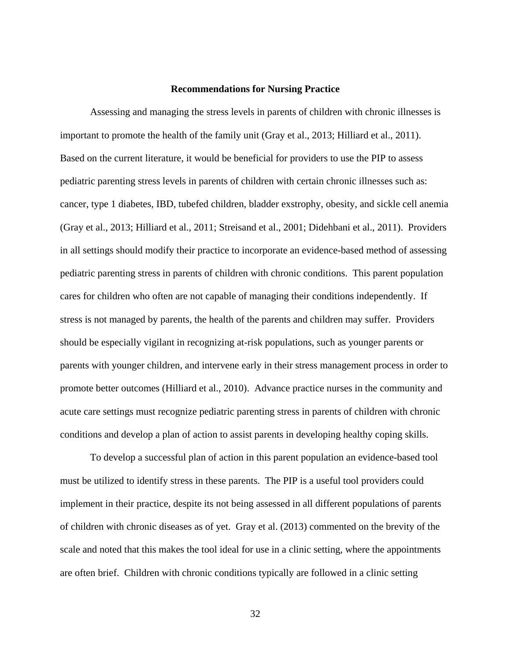## **Recommendations for Nursing Practice**

Assessing and managing the stress levels in parents of children with chronic illnesses is important to promote the health of the family unit (Gray et al., 2013; Hilliard et al., 2011). Based on the current literature, it would be beneficial for providers to use the PIP to assess pediatric parenting stress levels in parents of children with certain chronic illnesses such as: cancer, type 1 diabetes, IBD, tubefed children, bladder exstrophy, obesity, and sickle cell anemia (Gray et al., 2013; Hilliard et al., 2011; Streisand et al., 2001; Didehbani et al., 2011). Providers in all settings should modify their practice to incorporate an evidence-based method of assessing pediatric parenting stress in parents of children with chronic conditions. This parent population cares for children who often are not capable of managing their conditions independently. If stress is not managed by parents, the health of the parents and children may suffer. Providers should be especially vigilant in recognizing at-risk populations, such as younger parents or parents with younger children, and intervene early in their stress management process in order to promote better outcomes (Hilliard et al., 2010). Advance practice nurses in the community and acute care settings must recognize pediatric parenting stress in parents of children with chronic conditions and develop a plan of action to assist parents in developing healthy coping skills.

To develop a successful plan of action in this parent population an evidence-based tool must be utilized to identify stress in these parents. The PIP is a useful tool providers could implement in their practice, despite its not being assessed in all different populations of parents of children with chronic diseases as of yet. Gray et al. (2013) commented on the brevity of the scale and noted that this makes the tool ideal for use in a clinic setting, where the appointments are often brief. Children with chronic conditions typically are followed in a clinic setting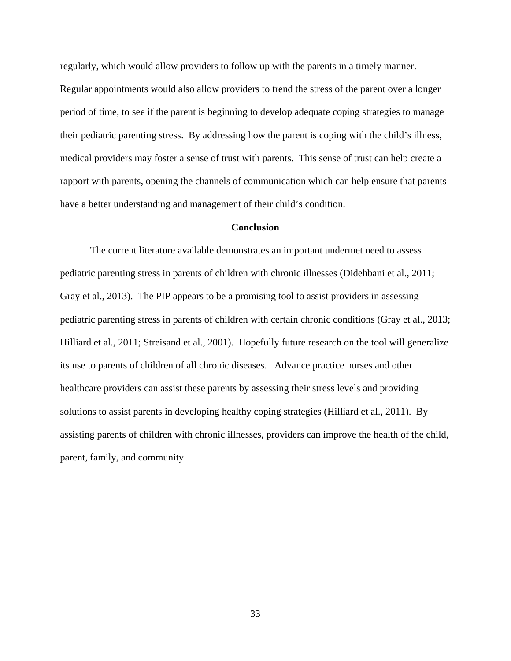regularly, which would allow providers to follow up with the parents in a timely manner. Regular appointments would also allow providers to trend the stress of the parent over a longer period of time, to see if the parent is beginning to develop adequate coping strategies to manage their pediatric parenting stress. By addressing how the parent is coping with the child's illness, medical providers may foster a sense of trust with parents. This sense of trust can help create a rapport with parents, opening the channels of communication which can help ensure that parents have a better understanding and management of their child's condition.

## **Conclusion**

The current literature available demonstrates an important undermet need to assess pediatric parenting stress in parents of children with chronic illnesses (Didehbani et al., 2011; Gray et al., 2013). The PIP appears to be a promising tool to assist providers in assessing pediatric parenting stress in parents of children with certain chronic conditions (Gray et al., 2013; Hilliard et al., 2011; Streisand et al., 2001). Hopefully future research on the tool will generalize its use to parents of children of all chronic diseases. Advance practice nurses and other healthcare providers can assist these parents by assessing their stress levels and providing solutions to assist parents in developing healthy coping strategies (Hilliard et al., 2011). By assisting parents of children with chronic illnesses, providers can improve the health of the child, parent, family, and community.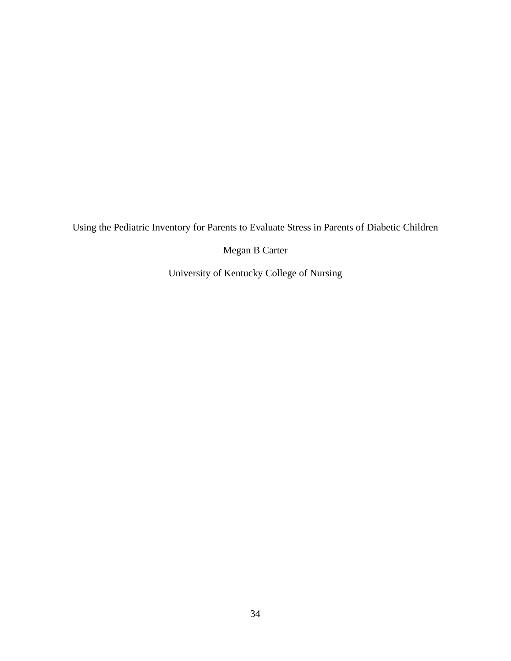Using the Pediatric Inventory for Parents to Evaluate Stress in Parents of Diabetic Children

Megan B Carter

University of Kentucky College of Nursing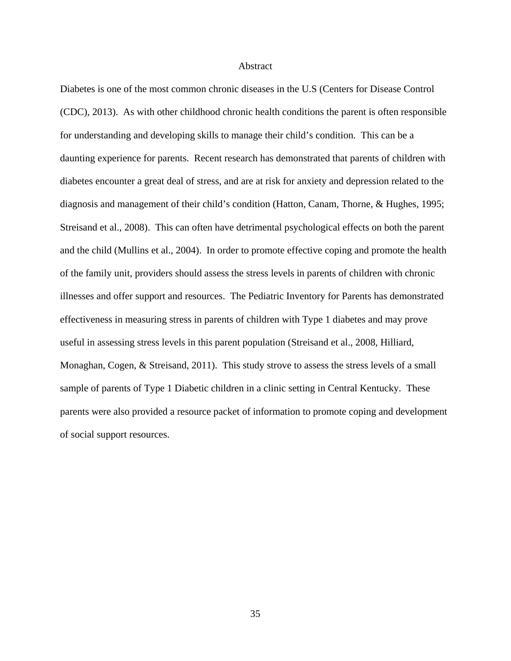# Abstract

Diabetes is one of the most common chronic diseases in the U.S (Centers for Disease Control (CDC), 2013). As with other childhood chronic health conditions the parent is often responsible for understanding and developing skills to manage their child's condition. This can be a daunting experience for parents. Recent research has demonstrated that parents of children with diabetes encounter a great deal of stress, and are at risk for anxiety and depression related to the diagnosis and management of their child's condition (Hatton, Canam, Thorne, & Hughes, 1995; Streisand et al., 2008). This can often have detrimental psychological effects on both the parent and the child (Mullins et al., 2004). In order to promote effective coping and promote the health of the family unit, providers should assess the stress levels in parents of children with chronic illnesses and offer support and resources. The Pediatric Inventory for Parents has demonstrated effectiveness in measuring stress in parents of children with Type 1 diabetes and may prove useful in assessing stress levels in this parent population (Streisand et al., 2008, Hilliard, Monaghan, Cogen, & Streisand, 2011). This study strove to assess the stress levels of a small sample of parents of Type 1 Diabetic children in a clinic setting in Central Kentucky. These parents were also provided a resource packet of information to promote coping and development of social support resources.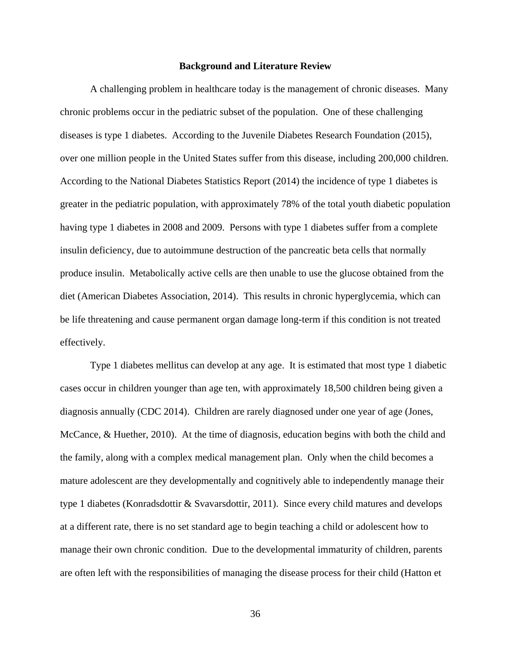#### **Background and Literature Review**

A challenging problem in healthcare today is the management of chronic diseases. Many chronic problems occur in the pediatric subset of the population. One of these challenging diseases is type 1 diabetes. According to the Juvenile Diabetes Research Foundation (2015), over one million people in the United States suffer from this disease, including 200,000 children. According to the National Diabetes Statistics Report (2014) the incidence of type 1 diabetes is greater in the pediatric population, with approximately 78% of the total youth diabetic population having type 1 diabetes in 2008 and 2009. Persons with type 1 diabetes suffer from a complete insulin deficiency, due to autoimmune destruction of the pancreatic beta cells that normally produce insulin. Metabolically active cells are then unable to use the glucose obtained from the diet (American Diabetes Association, 2014). This results in chronic hyperglycemia, which can be life threatening and cause permanent organ damage long-term if this condition is not treated effectively.

Type 1 diabetes mellitus can develop at any age. It is estimated that most type 1 diabetic cases occur in children younger than age ten, with approximately 18,500 children being given a diagnosis annually (CDC 2014). Children are rarely diagnosed under one year of age (Jones, McCance, & Huether, 2010). At the time of diagnosis, education begins with both the child and the family, along with a complex medical management plan. Only when the child becomes a mature adolescent are they developmentally and cognitively able to independently manage their type 1 diabetes (Konradsdottir & Svavarsdottir, 2011). Since every child matures and develops at a different rate, there is no set standard age to begin teaching a child or adolescent how to manage their own chronic condition. Due to the developmental immaturity of children, parents are often left with the responsibilities of managing the disease process for their child (Hatton et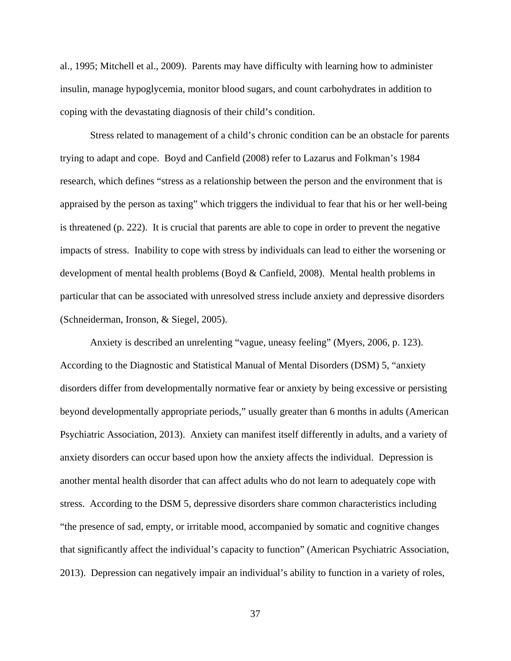al., 1995; Mitchell et al., 2009). Parents may have difficulty with learning how to administer insulin, manage hypoglycemia, monitor blood sugars, and count carbohydrates in addition to coping with the devastating diagnosis of their child's condition.

Stress related to management of a child's chronic condition can be an obstacle for parents trying to adapt and cope. Boyd and Canfield (2008) refer to Lazarus and Folkman's 1984 research, which defines "stress as a relationship between the person and the environment that is appraised by the person as taxing" which triggers the individual to fear that his or her well-being is threatened (p. 222). It is crucial that parents are able to cope in order to prevent the negative impacts of stress. Inability to cope with stress by individuals can lead to either the worsening or development of mental health problems (Boyd  $&$  Canfield, 2008). Mental health problems in particular that can be associated with unresolved stress include anxiety and depressive disorders (Schneiderman, Ironson, & Siegel, 2005).

Anxiety is described an unrelenting "vague, uneasy feeling" (Myers, 2006, p. 123). According to the Diagnostic and Statistical Manual of Mental Disorders (DSM) 5, "anxiety disorders differ from developmentally normative fear or anxiety by being excessive or persisting beyond developmentally appropriate periods," usually greater than 6 months in adults (American Psychiatric Association, 2013). Anxiety can manifest itself differently in adults, and a variety of anxiety disorders can occur based upon how the anxiety affects the individual. Depression is another mental health disorder that can affect adults who do not learn to adequately cope with stress. According to the DSM 5, depressive disorders share common characteristics including "the presence of sad, empty, or irritable mood, accompanied by somatic and cognitive changes that significantly affect the individual's capacity to function" (American Psychiatric Association, 2013). Depression can negatively impair an individual's ability to function in a variety of roles,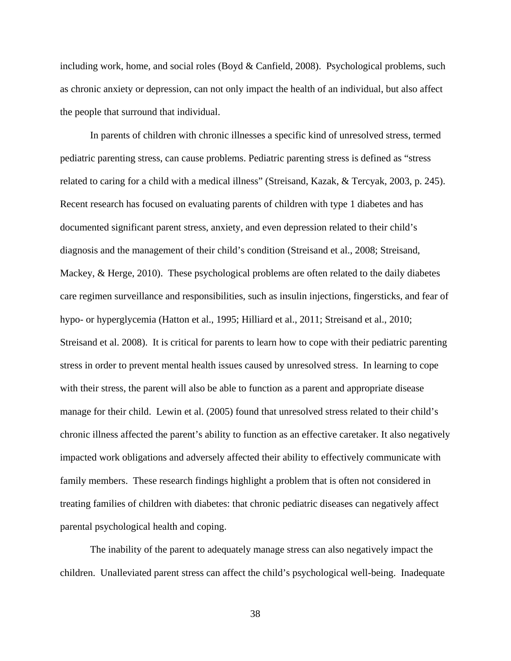including work, home, and social roles (Boyd & Canfield, 2008). Psychological problems, such as chronic anxiety or depression, can not only impact the health of an individual, but also affect the people that surround that individual.

In parents of children with chronic illnesses a specific kind of unresolved stress, termed pediatric parenting stress, can cause problems. Pediatric parenting stress is defined as "stress related to caring for a child with a medical illness" (Streisand, Kazak, & Tercyak, 2003, p. 245). Recent research has focused on evaluating parents of children with type 1 diabetes and has documented significant parent stress, anxiety, and even depression related to their child's diagnosis and the management of their child's condition (Streisand et al., 2008; Streisand, Mackey, & Herge, 2010). These psychological problems are often related to the daily diabetes care regimen surveillance and responsibilities, such as insulin injections, fingersticks, and fear of hypo- or hyperglycemia (Hatton et al., 1995; Hilliard et al., 2011; Streisand et al., 2010; Streisand et al. 2008). It is critical for parents to learn how to cope with their pediatric parenting stress in order to prevent mental health issues caused by unresolved stress. In learning to cope with their stress, the parent will also be able to function as a parent and appropriate disease manage for their child. Lewin et al. (2005) found that unresolved stress related to their child's chronic illness affected the parent's ability to function as an effective caretaker. It also negatively impacted work obligations and adversely affected their ability to effectively communicate with family members. These research findings highlight a problem that is often not considered in treating families of children with diabetes: that chronic pediatric diseases can negatively affect parental psychological health and coping.

The inability of the parent to adequately manage stress can also negatively impact the children. Unalleviated parent stress can affect the child's psychological well-being. Inadequate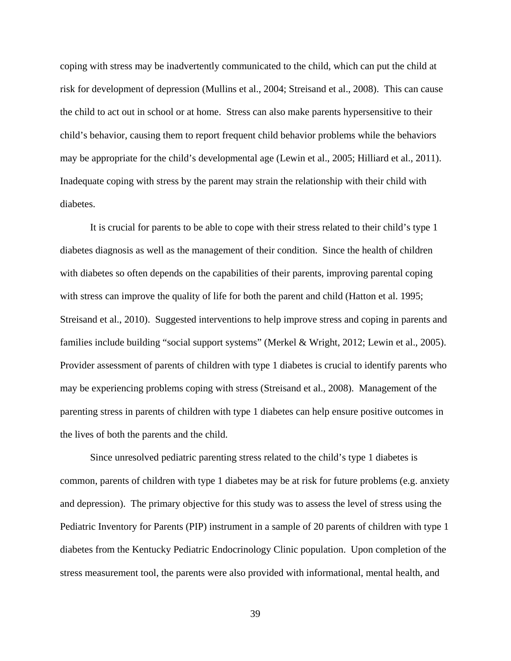coping with stress may be inadvertently communicated to the child, which can put the child at risk for development of depression (Mullins et al., 2004; Streisand et al., 2008). This can cause the child to act out in school or at home. Stress can also make parents hypersensitive to their child's behavior, causing them to report frequent child behavior problems while the behaviors may be appropriate for the child's developmental age (Lewin et al., 2005; Hilliard et al., 2011). Inadequate coping with stress by the parent may strain the relationship with their child with diabetes.

It is crucial for parents to be able to cope with their stress related to their child's type 1 diabetes diagnosis as well as the management of their condition. Since the health of children with diabetes so often depends on the capabilities of their parents, improving parental coping with stress can improve the quality of life for both the parent and child (Hatton et al. 1995; Streisand et al., 2010). Suggested interventions to help improve stress and coping in parents and families include building "social support systems" (Merkel & Wright, 2012; Lewin et al., 2005). Provider assessment of parents of children with type 1 diabetes is crucial to identify parents who may be experiencing problems coping with stress (Streisand et al., 2008). Management of the parenting stress in parents of children with type 1 diabetes can help ensure positive outcomes in the lives of both the parents and the child.

Since unresolved pediatric parenting stress related to the child's type 1 diabetes is common, parents of children with type 1 diabetes may be at risk for future problems (e.g. anxiety and depression). The primary objective for this study was to assess the level of stress using the Pediatric Inventory for Parents (PIP) instrument in a sample of 20 parents of children with type 1 diabetes from the Kentucky Pediatric Endocrinology Clinic population. Upon completion of the stress measurement tool, the parents were also provided with informational, mental health, and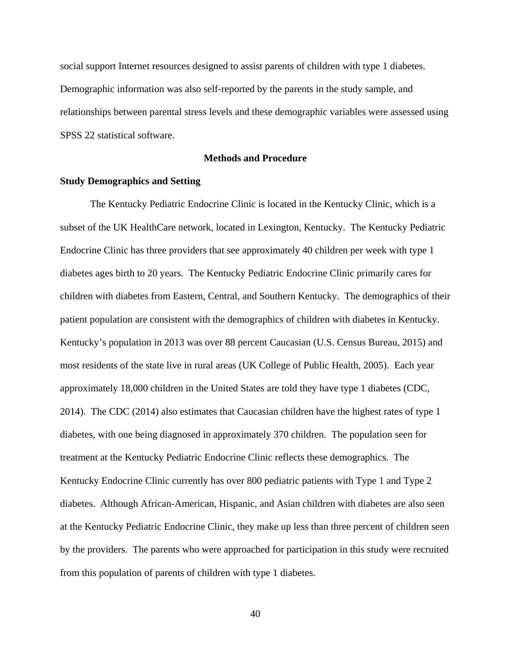social support Internet resources designed to assist parents of children with type 1 diabetes. Demographic information was also self-reported by the parents in the study sample, and relationships between parental stress levels and these demographic variables were assessed using SPSS 22 statistical software.

# **Methods and Procedure**

# **Study Demographics and Setting**

The Kentucky Pediatric Endocrine Clinic is located in the Kentucky Clinic, which is a subset of the UK HealthCare network, located in Lexington, Kentucky. The Kentucky Pediatric Endocrine Clinic has three providers that see approximately 40 children per week with type 1 diabetes ages birth to 20 years. The Kentucky Pediatric Endocrine Clinic primarily cares for children with diabetes from Eastern, Central, and Southern Kentucky. The demographics of their patient population are consistent with the demographics of children with diabetes in Kentucky. Kentucky's population in 2013 was over 88 percent Caucasian (U.S. Census Bureau, 2015) and most residents of the state live in rural areas (UK College of Public Health, 2005). Each year approximately 18,000 children in the United States are told they have type 1 diabetes (CDC, 2014). The CDC (2014) also estimates that Caucasian children have the highest rates of type 1 diabetes, with one being diagnosed in approximately 370 children. The population seen for treatment at the Kentucky Pediatric Endocrine Clinic reflects these demographics. The Kentucky Endocrine Clinic currently has over 800 pediatric patients with Type 1 and Type 2 diabetes. Although African-American, Hispanic, and Asian children with diabetes are also seen at the Kentucky Pediatric Endocrine Clinic, they make up less than three percent of children seen by the providers. The parents who were approached for participation in this study were recruited from this population of parents of children with type 1 diabetes.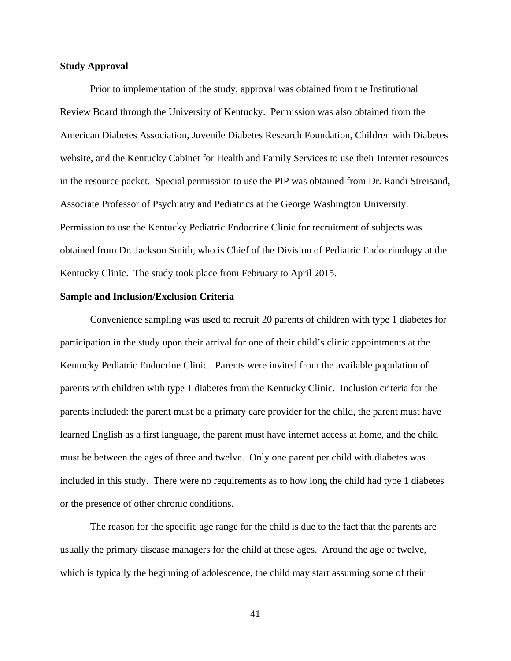#### **Study Approval**

Prior to implementation of the study, approval was obtained from the Institutional Review Board through the University of Kentucky. Permission was also obtained from the American Diabetes Association, Juvenile Diabetes Research Foundation, Children with Diabetes website, and the Kentucky Cabinet for Health and Family Services to use their Internet resources in the resource packet. Special permission to use the PIP was obtained from Dr. Randi Streisand, Associate Professor of Psychiatry and Pediatrics at the George Washington University. Permission to use the Kentucky Pediatric Endocrine Clinic for recruitment of subjects was obtained from Dr. Jackson Smith, who is Chief of the Division of Pediatric Endocrinology at the Kentucky Clinic. The study took place from February to April 2015.

## **Sample and Inclusion/Exclusion Criteria**

Convenience sampling was used to recruit 20 parents of children with type 1 diabetes for participation in the study upon their arrival for one of their child's clinic appointments at the Kentucky Pediatric Endocrine Clinic. Parents were invited from the available population of parents with children with type 1 diabetes from the Kentucky Clinic. Inclusion criteria for the parents included: the parent must be a primary care provider for the child, the parent must have learned English as a first language, the parent must have internet access at home, and the child must be between the ages of three and twelve. Only one parent per child with diabetes was included in this study. There were no requirements as to how long the child had type 1 diabetes or the presence of other chronic conditions.

The reason for the specific age range for the child is due to the fact that the parents are usually the primary disease managers for the child at these ages. Around the age of twelve, which is typically the beginning of adolescence, the child may start assuming some of their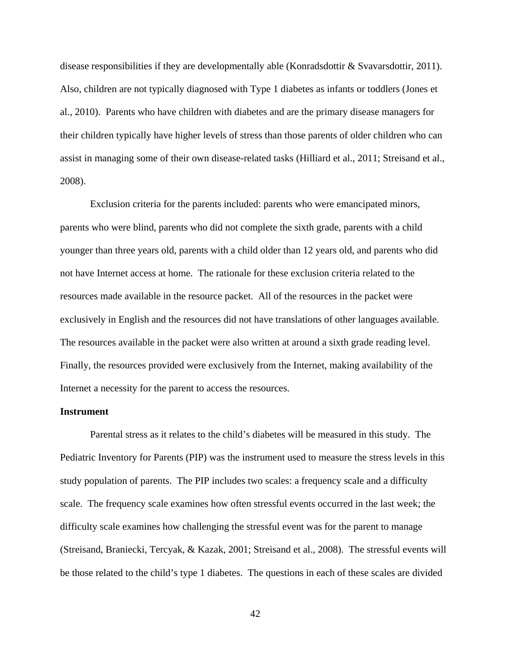disease responsibilities if they are developmentally able (Konradsdottir & Svavarsdottir, 2011). Also, children are not typically diagnosed with Type 1 diabetes as infants or toddlers (Jones et al., 2010). Parents who have children with diabetes and are the primary disease managers for their children typically have higher levels of stress than those parents of older children who can assist in managing some of their own disease-related tasks (Hilliard et al., 2011; Streisand et al., 2008).

Exclusion criteria for the parents included: parents who were emancipated minors, parents who were blind, parents who did not complete the sixth grade, parents with a child younger than three years old, parents with a child older than 12 years old, and parents who did not have Internet access at home. The rationale for these exclusion criteria related to the resources made available in the resource packet. All of the resources in the packet were exclusively in English and the resources did not have translations of other languages available. The resources available in the packet were also written at around a sixth grade reading level. Finally, the resources provided were exclusively from the Internet, making availability of the Internet a necessity for the parent to access the resources.

# **Instrument**

Parental stress as it relates to the child's diabetes will be measured in this study. The Pediatric Inventory for Parents (PIP) was the instrument used to measure the stress levels in this study population of parents. The PIP includes two scales: a frequency scale and a difficulty scale. The frequency scale examines how often stressful events occurred in the last week; the difficulty scale examines how challenging the stressful event was for the parent to manage (Streisand, Braniecki, Tercyak, & Kazak, 2001; Streisand et al., 2008). The stressful events will be those related to the child's type 1 diabetes. The questions in each of these scales are divided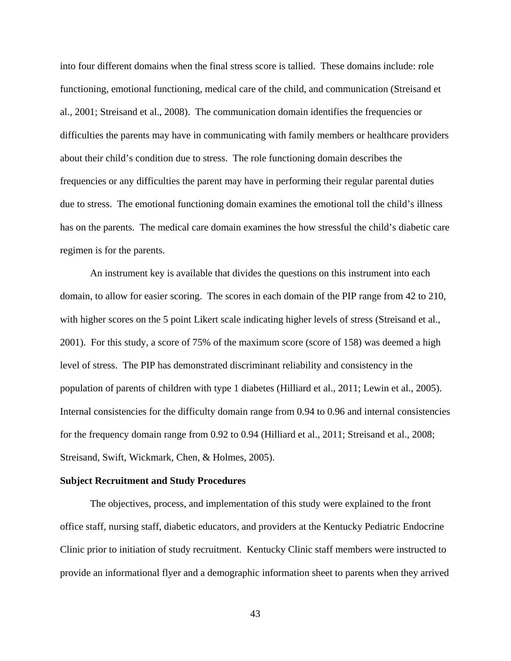into four different domains when the final stress score is tallied. These domains include: role functioning, emotional functioning, medical care of the child, and communication (Streisand et al., 2001; Streisand et al., 2008). The communication domain identifies the frequencies or difficulties the parents may have in communicating with family members or healthcare providers about their child's condition due to stress. The role functioning domain describes the frequencies or any difficulties the parent may have in performing their regular parental duties due to stress. The emotional functioning domain examines the emotional toll the child's illness has on the parents. The medical care domain examines the how stressful the child's diabetic care regimen is for the parents.

An instrument key is available that divides the questions on this instrument into each domain, to allow for easier scoring. The scores in each domain of the PIP range from 42 to 210, with higher scores on the 5 point Likert scale indicating higher levels of stress (Streisand et al., 2001). For this study, a score of 75% of the maximum score (score of 158) was deemed a high level of stress. The PIP has demonstrated discriminant reliability and consistency in the population of parents of children with type 1 diabetes (Hilliard et al., 2011; Lewin et al., 2005). Internal consistencies for the difficulty domain range from 0.94 to 0.96 and internal consistencies for the frequency domain range from 0.92 to 0.94 (Hilliard et al., 2011; Streisand et al., 2008; Streisand, Swift, Wickmark, Chen, & Holmes, 2005).

#### **Subject Recruitment and Study Procedures**

The objectives, process, and implementation of this study were explained to the front office staff, nursing staff, diabetic educators, and providers at the Kentucky Pediatric Endocrine Clinic prior to initiation of study recruitment. Kentucky Clinic staff members were instructed to provide an informational flyer and a demographic information sheet to parents when they arrived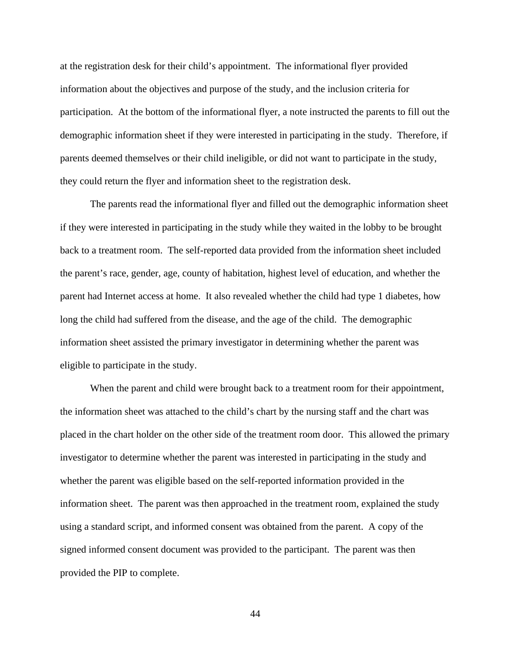at the registration desk for their child's appointment. The informational flyer provided information about the objectives and purpose of the study, and the inclusion criteria for participation. At the bottom of the informational flyer, a note instructed the parents to fill out the demographic information sheet if they were interested in participating in the study. Therefore, if parents deemed themselves or their child ineligible, or did not want to participate in the study, they could return the flyer and information sheet to the registration desk.

The parents read the informational flyer and filled out the demographic information sheet if they were interested in participating in the study while they waited in the lobby to be brought back to a treatment room. The self-reported data provided from the information sheet included the parent's race, gender, age, county of habitation, highest level of education, and whether the parent had Internet access at home. It also revealed whether the child had type 1 diabetes, how long the child had suffered from the disease, and the age of the child. The demographic information sheet assisted the primary investigator in determining whether the parent was eligible to participate in the study.

When the parent and child were brought back to a treatment room for their appointment, the information sheet was attached to the child's chart by the nursing staff and the chart was placed in the chart holder on the other side of the treatment room door. This allowed the primary investigator to determine whether the parent was interested in participating in the study and whether the parent was eligible based on the self-reported information provided in the information sheet. The parent was then approached in the treatment room, explained the study using a standard script, and informed consent was obtained from the parent. A copy of the signed informed consent document was provided to the participant. The parent was then provided the PIP to complete.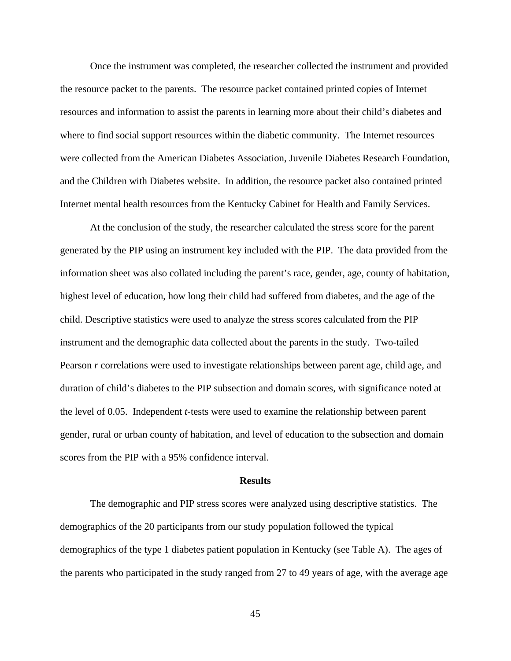Once the instrument was completed, the researcher collected the instrument and provided the resource packet to the parents. The resource packet contained printed copies of Internet resources and information to assist the parents in learning more about their child's diabetes and where to find social support resources within the diabetic community. The Internet resources were collected from the American Diabetes Association, Juvenile Diabetes Research Foundation, and the Children with Diabetes website. In addition, the resource packet also contained printed Internet mental health resources from the Kentucky Cabinet for Health and Family Services.

At the conclusion of the study, the researcher calculated the stress score for the parent generated by the PIP using an instrument key included with the PIP. The data provided from the information sheet was also collated including the parent's race, gender, age, county of habitation, highest level of education, how long their child had suffered from diabetes, and the age of the child. Descriptive statistics were used to analyze the stress scores calculated from the PIP instrument and the demographic data collected about the parents in the study. Two-tailed Pearson *r* correlations were used to investigate relationships between parent age, child age, and duration of child's diabetes to the PIP subsection and domain scores, with significance noted at the level of 0.05. Independent *t*-tests were used to examine the relationship between parent gender, rural or urban county of habitation, and level of education to the subsection and domain scores from the PIP with a 95% confidence interval.

#### **Results**

The demographic and PIP stress scores were analyzed using descriptive statistics. The demographics of the 20 participants from our study population followed the typical demographics of the type 1 diabetes patient population in Kentucky (see Table A). The ages of the parents who participated in the study ranged from 27 to 49 years of age, with the average age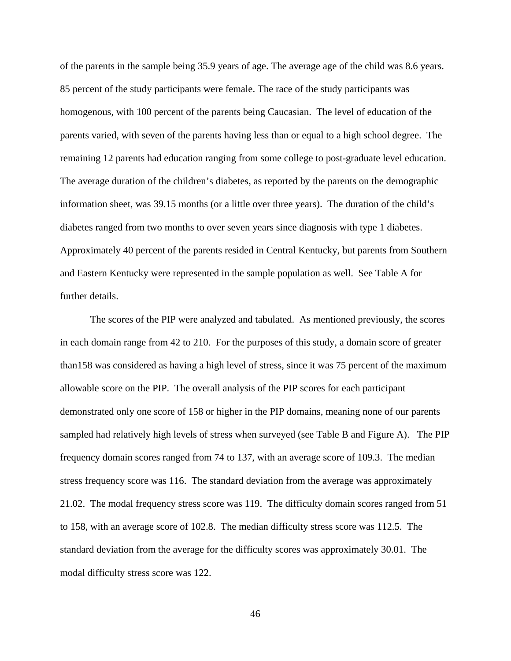of the parents in the sample being 35.9 years of age. The average age of the child was 8.6 years. 85 percent of the study participants were female. The race of the study participants was homogenous, with 100 percent of the parents being Caucasian. The level of education of the parents varied, with seven of the parents having less than or equal to a high school degree. The remaining 12 parents had education ranging from some college to post-graduate level education. The average duration of the children's diabetes, as reported by the parents on the demographic information sheet, was 39.15 months (or a little over three years). The duration of the child's diabetes ranged from two months to over seven years since diagnosis with type 1 diabetes. Approximately 40 percent of the parents resided in Central Kentucky, but parents from Southern and Eastern Kentucky were represented in the sample population as well. See Table A for further details.

The scores of the PIP were analyzed and tabulated. As mentioned previously, the scores in each domain range from 42 to 210. For the purposes of this study, a domain score of greater than158 was considered as having a high level of stress, since it was 75 percent of the maximum allowable score on the PIP. The overall analysis of the PIP scores for each participant demonstrated only one score of 158 or higher in the PIP domains, meaning none of our parents sampled had relatively high levels of stress when surveyed (see Table B and Figure A). The PIP frequency domain scores ranged from 74 to 137, with an average score of 109.3. The median stress frequency score was 116. The standard deviation from the average was approximately 21.02. The modal frequency stress score was 119. The difficulty domain scores ranged from 51 to 158, with an average score of 102.8. The median difficulty stress score was 112.5. The standard deviation from the average for the difficulty scores was approximately 30.01. The modal difficulty stress score was 122.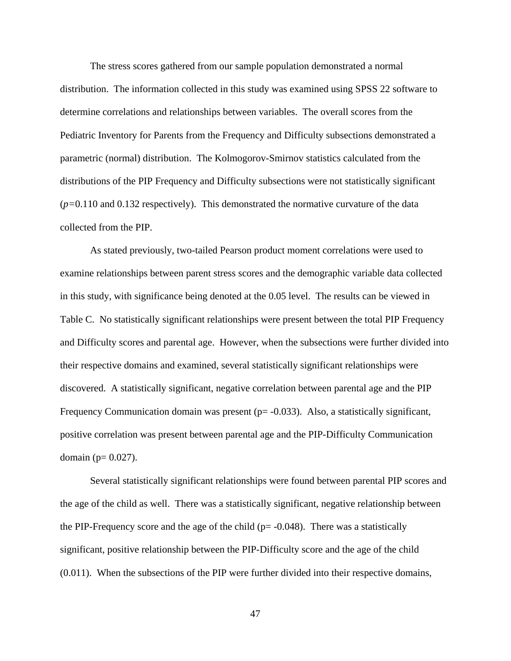The stress scores gathered from our sample population demonstrated a normal distribution. The information collected in this study was examined using SPSS 22 software to determine correlations and relationships between variables. The overall scores from the Pediatric Inventory for Parents from the Frequency and Difficulty subsections demonstrated a parametric (normal) distribution. The Kolmogorov-Smirnov statistics calculated from the distributions of the PIP Frequency and Difficulty subsections were not statistically significant (*p=*0.110 and 0.132 respectively). This demonstrated the normative curvature of the data collected from the PIP.

As stated previously, two-tailed Pearson product moment correlations were used to examine relationships between parent stress scores and the demographic variable data collected in this study, with significance being denoted at the 0.05 level. The results can be viewed in Table C. No statistically significant relationships were present between the total PIP Frequency and Difficulty scores and parental age. However, when the subsections were further divided into their respective domains and examined, several statistically significant relationships were discovered. A statistically significant, negative correlation between parental age and the PIP Frequency Communication domain was present ( $p = -0.033$ ). Also, a statistically significant, positive correlation was present between parental age and the PIP-Difficulty Communication domain ( $p= 0.027$ ).

Several statistically significant relationships were found between parental PIP scores and the age of the child as well. There was a statistically significant, negative relationship between the PIP-Frequency score and the age of the child ( $p = -0.048$ ). There was a statistically significant, positive relationship between the PIP-Difficulty score and the age of the child (0.011). When the subsections of the PIP were further divided into their respective domains,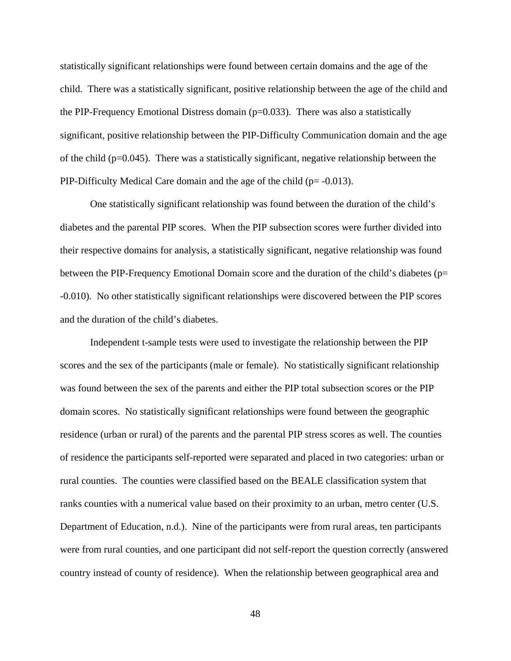statistically significant relationships were found between certain domains and the age of the child. There was a statistically significant, positive relationship between the age of the child and the PIP-Frequency Emotional Distress domain ( $p=0.033$ ). There was also a statistically significant, positive relationship between the PIP-Difficulty Communication domain and the age of the child ( $p=0.045$ ). There was a statistically significant, negative relationship between the PIP-Difficulty Medical Care domain and the age of the child ( $p = -0.013$ ).

One statistically significant relationship was found between the duration of the child's diabetes and the parental PIP scores. When the PIP subsection scores were further divided into their respective domains for analysis, a statistically significant, negative relationship was found between the PIP-Frequency Emotional Domain score and the duration of the child's diabetes (p= -0.010). No other statistically significant relationships were discovered between the PIP scores and the duration of the child's diabetes.

Independent t-sample tests were used to investigate the relationship between the PIP scores and the sex of the participants (male or female). No statistically significant relationship was found between the sex of the parents and either the PIP total subsection scores or the PIP domain scores. No statistically significant relationships were found between the geographic residence (urban or rural) of the parents and the parental PIP stress scores as well. The counties of residence the participants self-reported were separated and placed in two categories: urban or rural counties. The counties were classified based on the BEALE classification system that ranks counties with a numerical value based on their proximity to an urban, metro center (U.S. Department of Education, n.d.). Nine of the participants were from rural areas, ten participants were from rural counties, and one participant did not self-report the question correctly (answered country instead of county of residence). When the relationship between geographical area and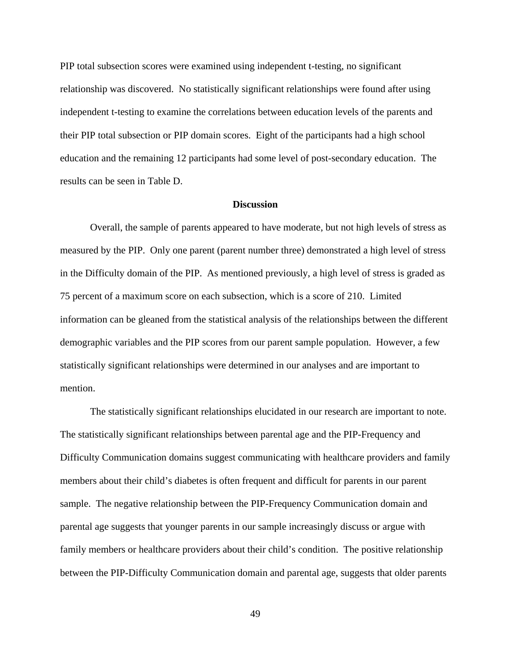PIP total subsection scores were examined using independent t-testing, no significant relationship was discovered. No statistically significant relationships were found after using independent t-testing to examine the correlations between education levels of the parents and their PIP total subsection or PIP domain scores. Eight of the participants had a high school education and the remaining 12 participants had some level of post-secondary education. The results can be seen in Table D.

## **Discussion**

Overall, the sample of parents appeared to have moderate, but not high levels of stress as measured by the PIP. Only one parent (parent number three) demonstrated a high level of stress in the Difficulty domain of the PIP. As mentioned previously, a high level of stress is graded as 75 percent of a maximum score on each subsection, which is a score of 210. Limited information can be gleaned from the statistical analysis of the relationships between the different demographic variables and the PIP scores from our parent sample population. However, a few statistically significant relationships were determined in our analyses and are important to mention.

The statistically significant relationships elucidated in our research are important to note. The statistically significant relationships between parental age and the PIP-Frequency and Difficulty Communication domains suggest communicating with healthcare providers and family members about their child's diabetes is often frequent and difficult for parents in our parent sample. The negative relationship between the PIP-Frequency Communication domain and parental age suggests that younger parents in our sample increasingly discuss or argue with family members or healthcare providers about their child's condition. The positive relationship between the PIP-Difficulty Communication domain and parental age, suggests that older parents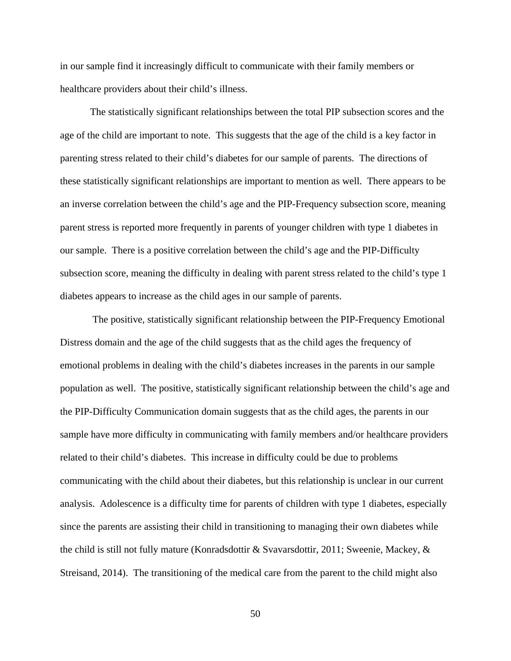in our sample find it increasingly difficult to communicate with their family members or healthcare providers about their child's illness.

The statistically significant relationships between the total PIP subsection scores and the age of the child are important to note. This suggests that the age of the child is a key factor in parenting stress related to their child's diabetes for our sample of parents. The directions of these statistically significant relationships are important to mention as well. There appears to be an inverse correlation between the child's age and the PIP-Frequency subsection score, meaning parent stress is reported more frequently in parents of younger children with type 1 diabetes in our sample. There is a positive correlation between the child's age and the PIP-Difficulty subsection score, meaning the difficulty in dealing with parent stress related to the child's type 1 diabetes appears to increase as the child ages in our sample of parents.

The positive, statistically significant relationship between the PIP-Frequency Emotional Distress domain and the age of the child suggests that as the child ages the frequency of emotional problems in dealing with the child's diabetes increases in the parents in our sample population as well. The positive, statistically significant relationship between the child's age and the PIP-Difficulty Communication domain suggests that as the child ages, the parents in our sample have more difficulty in communicating with family members and/or healthcare providers related to their child's diabetes. This increase in difficulty could be due to problems communicating with the child about their diabetes, but this relationship is unclear in our current analysis. Adolescence is a difficulty time for parents of children with type 1 diabetes, especially since the parents are assisting their child in transitioning to managing their own diabetes while the child is still not fully mature (Konradsdottir & Svavarsdottir, 2011; Sweenie, Mackey, & Streisand, 2014). The transitioning of the medical care from the parent to the child might also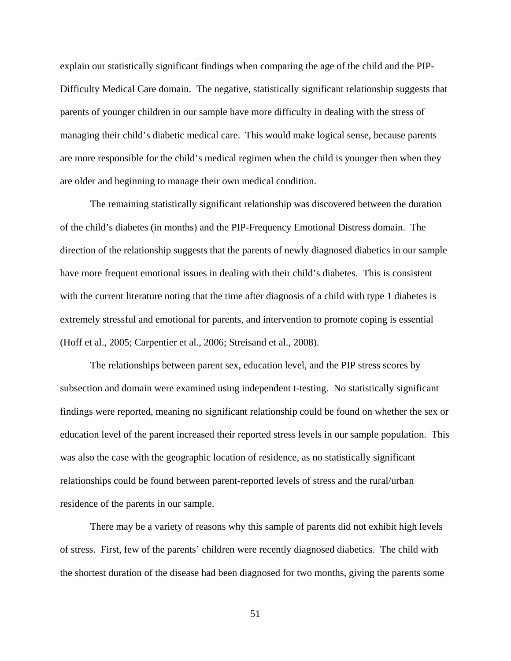explain our statistically significant findings when comparing the age of the child and the PIP-Difficulty Medical Care domain. The negative, statistically significant relationship suggests that parents of younger children in our sample have more difficulty in dealing with the stress of managing their child's diabetic medical care. This would make logical sense, because parents are more responsible for the child's medical regimen when the child is younger then when they are older and beginning to manage their own medical condition.

The remaining statistically significant relationship was discovered between the duration of the child's diabetes (in months) and the PIP-Frequency Emotional Distress domain. The direction of the relationship suggests that the parents of newly diagnosed diabetics in our sample have more frequent emotional issues in dealing with their child's diabetes. This is consistent with the current literature noting that the time after diagnosis of a child with type 1 diabetes is extremely stressful and emotional for parents, and intervention to promote coping is essential (Hoff et al., 2005; Carpentier et al., 2006; Streisand et al., 2008).

The relationships between parent sex, education level, and the PIP stress scores by subsection and domain were examined using independent t-testing. No statistically significant findings were reported, meaning no significant relationship could be found on whether the sex or education level of the parent increased their reported stress levels in our sample population. This was also the case with the geographic location of residence, as no statistically significant relationships could be found between parent-reported levels of stress and the rural/urban residence of the parents in our sample.

There may be a variety of reasons why this sample of parents did not exhibit high levels of stress. First, few of the parents' children were recently diagnosed diabetics. The child with the shortest duration of the disease had been diagnosed for two months, giving the parents some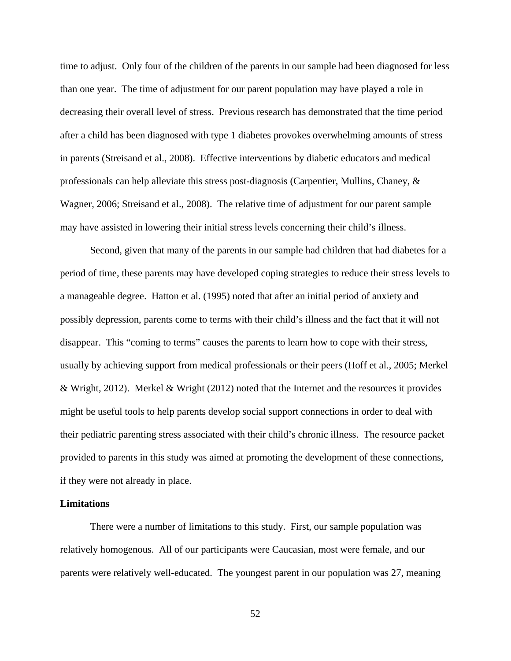time to adjust. Only four of the children of the parents in our sample had been diagnosed for less than one year. The time of adjustment for our parent population may have played a role in decreasing their overall level of stress. Previous research has demonstrated that the time period after a child has been diagnosed with type 1 diabetes provokes overwhelming amounts of stress in parents (Streisand et al., 2008). Effective interventions by diabetic educators and medical professionals can help alleviate this stress post-diagnosis (Carpentier, Mullins, Chaney, & Wagner, 2006; Streisand et al., 2008). The relative time of adjustment for our parent sample may have assisted in lowering their initial stress levels concerning their child's illness.

Second, given that many of the parents in our sample had children that had diabetes for a period of time, these parents may have developed coping strategies to reduce their stress levels to a manageable degree. Hatton et al. (1995) noted that after an initial period of anxiety and possibly depression, parents come to terms with their child's illness and the fact that it will not disappear. This "coming to terms" causes the parents to learn how to cope with their stress, usually by achieving support from medical professionals or their peers (Hoff et al., 2005; Merkel & Wright, 2012). Merkel & Wright (2012) noted that the Internet and the resources it provides might be useful tools to help parents develop social support connections in order to deal with their pediatric parenting stress associated with their child's chronic illness. The resource packet provided to parents in this study was aimed at promoting the development of these connections, if they were not already in place.

# **Limitations**

There were a number of limitations to this study. First, our sample population was relatively homogenous. All of our participants were Caucasian, most were female, and our parents were relatively well-educated. The youngest parent in our population was 27, meaning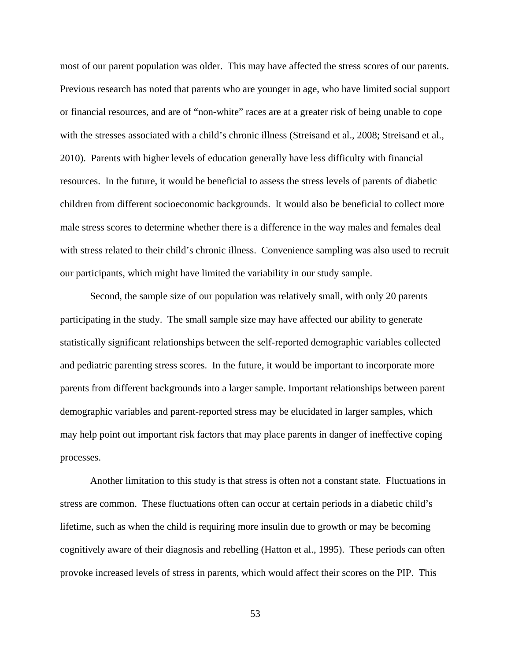most of our parent population was older. This may have affected the stress scores of our parents. Previous research has noted that parents who are younger in age, who have limited social support or financial resources, and are of "non-white" races are at a greater risk of being unable to cope with the stresses associated with a child's chronic illness (Streisand et al., 2008; Streisand et al., 2010). Parents with higher levels of education generally have less difficulty with financial resources. In the future, it would be beneficial to assess the stress levels of parents of diabetic children from different socioeconomic backgrounds. It would also be beneficial to collect more male stress scores to determine whether there is a difference in the way males and females deal with stress related to their child's chronic illness. Convenience sampling was also used to recruit our participants, which might have limited the variability in our study sample.

Second, the sample size of our population was relatively small, with only 20 parents participating in the study. The small sample size may have affected our ability to generate statistically significant relationships between the self-reported demographic variables collected and pediatric parenting stress scores. In the future, it would be important to incorporate more parents from different backgrounds into a larger sample. Important relationships between parent demographic variables and parent-reported stress may be elucidated in larger samples, which may help point out important risk factors that may place parents in danger of ineffective coping processes.

Another limitation to this study is that stress is often not a constant state. Fluctuations in stress are common. These fluctuations often can occur at certain periods in a diabetic child's lifetime, such as when the child is requiring more insulin due to growth or may be becoming cognitively aware of their diagnosis and rebelling (Hatton et al., 1995). These periods can often provoke increased levels of stress in parents, which would affect their scores on the PIP. This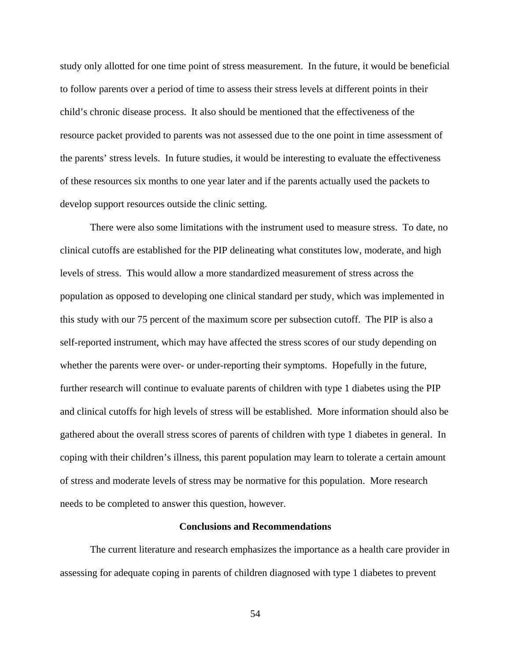study only allotted for one time point of stress measurement. In the future, it would be beneficial to follow parents over a period of time to assess their stress levels at different points in their child's chronic disease process. It also should be mentioned that the effectiveness of the resource packet provided to parents was not assessed due to the one point in time assessment of the parents' stress levels. In future studies, it would be interesting to evaluate the effectiveness of these resources six months to one year later and if the parents actually used the packets to develop support resources outside the clinic setting.

There were also some limitations with the instrument used to measure stress. To date, no clinical cutoffs are established for the PIP delineating what constitutes low, moderate, and high levels of stress. This would allow a more standardized measurement of stress across the population as opposed to developing one clinical standard per study, which was implemented in this study with our 75 percent of the maximum score per subsection cutoff. The PIP is also a self-reported instrument, which may have affected the stress scores of our study depending on whether the parents were over- or under-reporting their symptoms. Hopefully in the future, further research will continue to evaluate parents of children with type 1 diabetes using the PIP and clinical cutoffs for high levels of stress will be established. More information should also be gathered about the overall stress scores of parents of children with type 1 diabetes in general. In coping with their children's illness, this parent population may learn to tolerate a certain amount of stress and moderate levels of stress may be normative for this population. More research needs to be completed to answer this question, however.

#### **Conclusions and Recommendations**

The current literature and research emphasizes the importance as a health care provider in assessing for adequate coping in parents of children diagnosed with type 1 diabetes to prevent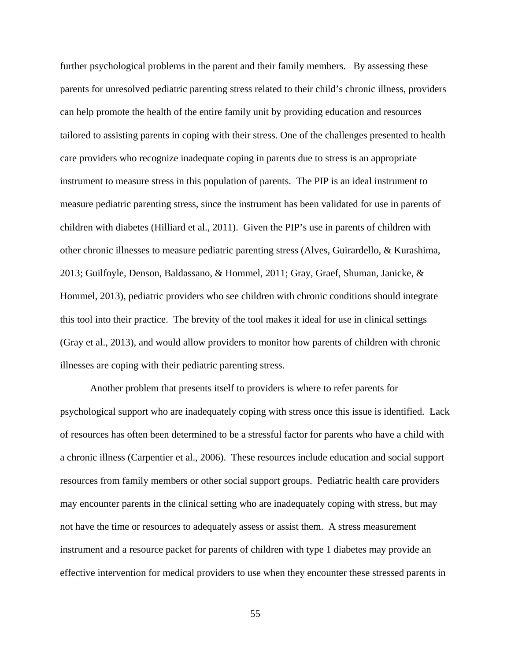further psychological problems in the parent and their family members. By assessing these parents for unresolved pediatric parenting stress related to their child's chronic illness, providers can help promote the health of the entire family unit by providing education and resources tailored to assisting parents in coping with their stress. One of the challenges presented to health care providers who recognize inadequate coping in parents due to stress is an appropriate instrument to measure stress in this population of parents. The PIP is an ideal instrument to measure pediatric parenting stress, since the instrument has been validated for use in parents of children with diabetes (Hilliard et al., 2011). Given the PIP's use in parents of children with other chronic illnesses to measure pediatric parenting stress (Alves, Guirardello, & Kurashima, 2013; Guilfoyle, Denson, Baldassano, & Hommel, 2011; Gray, Graef, Shuman, Janicke, & Hommel, 2013), pediatric providers who see children with chronic conditions should integrate this tool into their practice. The brevity of the tool makes it ideal for use in clinical settings (Gray et al., 2013), and would allow providers to monitor how parents of children with chronic illnesses are coping with their pediatric parenting stress.

Another problem that presents itself to providers is where to refer parents for psychological support who are inadequately coping with stress once this issue is identified. Lack of resources has often been determined to be a stressful factor for parents who have a child with a chronic illness (Carpentier et al., 2006). These resources include education and social support resources from family members or other social support groups. Pediatric health care providers may encounter parents in the clinical setting who are inadequately coping with stress, but may not have the time or resources to adequately assess or assist them. A stress measurement instrument and a resource packet for parents of children with type 1 diabetes may provide an effective intervention for medical providers to use when they encounter these stressed parents in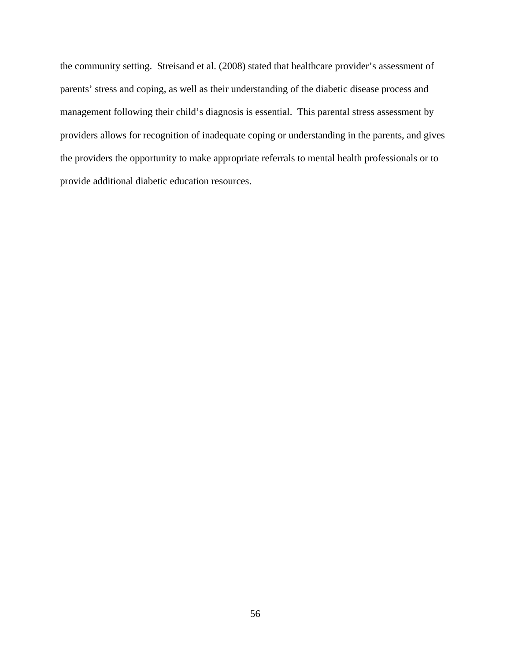the community setting. Streisand et al. (2008) stated that healthcare provider's assessment of parents' stress and coping, as well as their understanding of the diabetic disease process and management following their child's diagnosis is essential. This parental stress assessment by providers allows for recognition of inadequate coping or understanding in the parents, and gives the providers the opportunity to make appropriate referrals to mental health professionals or to provide additional diabetic education resources.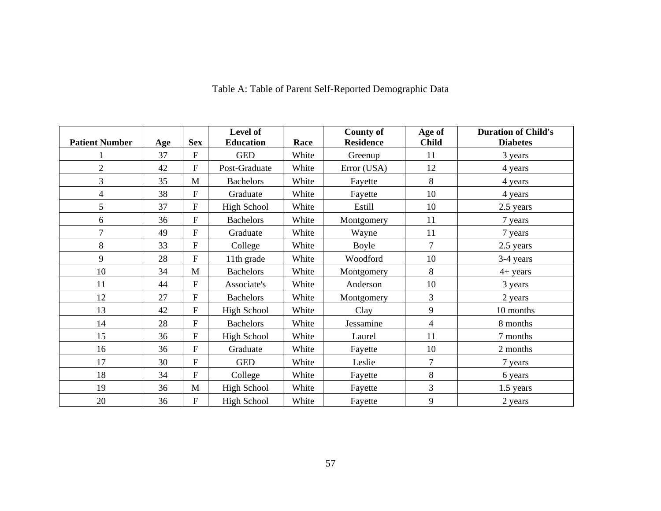| <b>Patient Number</b> | Age | <b>Sex</b>                | Level of<br><b>Education</b> | Race  | <b>County of</b><br><b>Residence</b> | Age of<br><b>Child</b> | <b>Duration of Child's</b><br><b>Diabetes</b> |
|-----------------------|-----|---------------------------|------------------------------|-------|--------------------------------------|------------------------|-----------------------------------------------|
|                       | 37  | $F_{\rm}$                 | <b>GED</b>                   | White | Greenup                              | 11                     | 3 years                                       |
| $\overline{2}$        | 42  | F                         | Post-Graduate                | White | Error (USA)                          | 12                     | 4 years                                       |
| 3                     | 35  | M                         | <b>Bachelors</b>             | White | Fayette                              | 8                      | 4 years                                       |
| $\overline{4}$        | 38  | $\boldsymbol{\mathrm{F}}$ | Graduate                     | White | Fayette                              | 10                     | 4 years                                       |
| 5                     | 37  | ${\bf F}$                 | <b>High School</b>           | White | <b>Estill</b>                        | 10                     | 2.5 years                                     |
| 6                     | 36  | $\boldsymbol{\mathrm{F}}$ | <b>Bachelors</b>             | White | Montgomery                           | 11                     | 7 years                                       |
| $\overline{7}$        | 49  | $\overline{F}$            | Graduate                     | White | Wayne                                | 11                     | 7 years                                       |
| 8                     | 33  | ${\bf F}$                 | College                      | White | Boyle                                | $\overline{7}$         | 2.5 years                                     |
| 9                     | 28  | F                         | 11th grade                   | White | Woodford                             | 10                     | 3-4 years                                     |
| 10                    | 34  | M                         | <b>Bachelors</b>             | White | Montgomery                           | 8                      | $4+ \text{ years}$                            |
| 11                    | 44  | $\mathbf{F}$              | Associate's                  | White | Anderson                             | 10                     | 3 years                                       |
| 12                    | 27  | F                         | <b>Bachelors</b>             | White | Montgomery                           | 3                      | 2 years                                       |
| 13                    | 42  | F                         | <b>High School</b>           | White | Clay                                 | 9                      | 10 months                                     |
| 14                    | 28  | F                         | <b>Bachelors</b>             | White | Jessamine                            | $\overline{4}$         | 8 months                                      |
| 15                    | 36  | $\overline{F}$            | <b>High School</b>           | White | Laurel                               | 11                     | 7 months                                      |
| 16                    | 36  | ${\bf F}$                 | Graduate                     | White | Fayette                              | 10                     | 2 months                                      |
| 17                    | 30  | F                         | <b>GED</b>                   | White | Leslie                               | $\overline{7}$         | 7 years                                       |
| 18                    | 34  | ${\bf F}$                 | College                      | White | Fayette                              | 8                      | 6 years                                       |
| 19                    | 36  | M                         | <b>High School</b>           | White | Fayette                              | 3                      | 1.5 years                                     |
| 20                    | 36  | ${\bf F}$                 | <b>High School</b>           | White | Fayette                              | 9                      | 2 years                                       |

# Table A: Table of Parent Self-Reported Demographic Data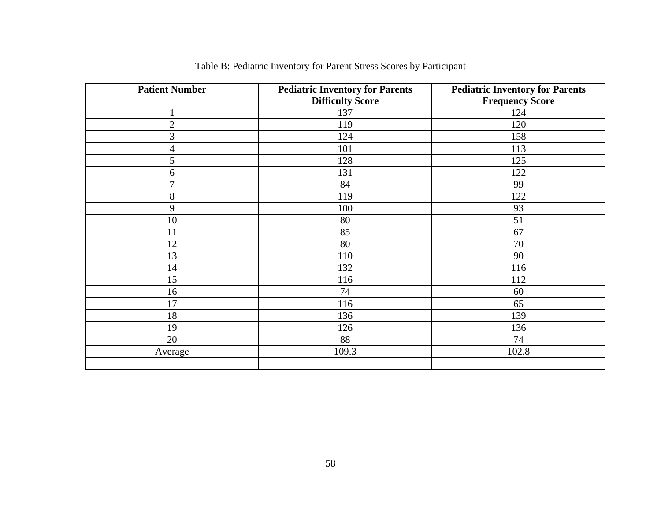| <b>Patient Number</b> | <b>Pediatric Inventory for Parents</b><br><b>Difficulty Score</b> | <b>Pediatric Inventory for Parents</b><br><b>Frequency Score</b> |  |  |  |
|-----------------------|-------------------------------------------------------------------|------------------------------------------------------------------|--|--|--|
| $\mathbf{1}$          | 137                                                               | 124                                                              |  |  |  |
| $\mathbf{2}$          | 119                                                               | 120                                                              |  |  |  |
| 3                     | 124                                                               | 158                                                              |  |  |  |
| $\overline{4}$        | 101                                                               | 113                                                              |  |  |  |
| 5                     | 128                                                               | 125                                                              |  |  |  |
| 6                     | 131                                                               | 122                                                              |  |  |  |
| $\overline{7}$        | 84                                                                | 99                                                               |  |  |  |
| 8                     | 119                                                               | 122                                                              |  |  |  |
| 9                     | 100                                                               | 93                                                               |  |  |  |
| 10                    | 80                                                                | 51                                                               |  |  |  |
| 11                    | 85                                                                | 67                                                               |  |  |  |
| 12                    | 80                                                                | 70                                                               |  |  |  |
| 13                    | 110                                                               | 90                                                               |  |  |  |
| 14                    | 132                                                               | 116                                                              |  |  |  |
| 15                    | 116                                                               | 112                                                              |  |  |  |
| 16                    | 74                                                                | 60                                                               |  |  |  |
| 17                    | 116                                                               | 65                                                               |  |  |  |
| 18                    | 136                                                               | 139                                                              |  |  |  |
| 19                    | 126                                                               | 136                                                              |  |  |  |
| 20                    | 88                                                                | 74                                                               |  |  |  |
| Average               | 109.3                                                             | 102.8                                                            |  |  |  |
|                       |                                                                   |                                                                  |  |  |  |

Table B: Pediatric Inventory for Parent Stress Scores by Participant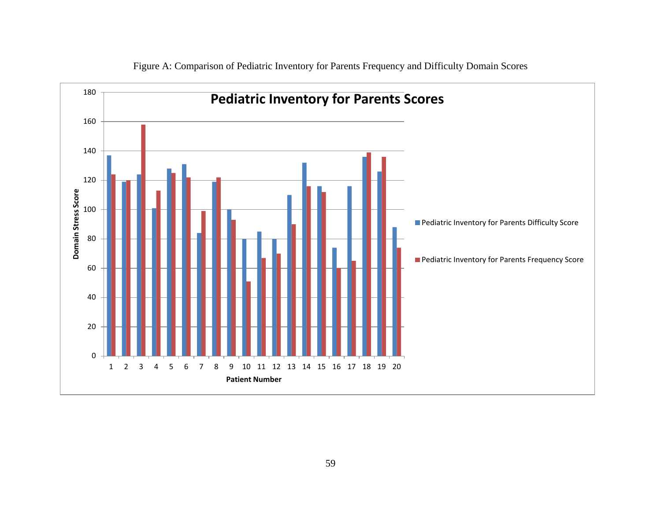

Figure A: Comparison of Pediatric Inventory for Parents Frequency and Difficulty Domain Scores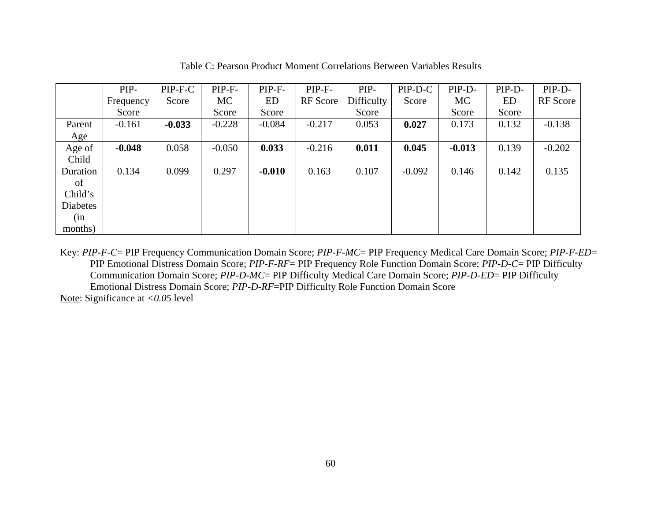|          | PIP-      | PIP-F-C  | PIP-F-    | PIP-F-    | PIP-F-   | PIP-       | PIP-D-C  | PIP-D-    | PIP-D- | PIP-D-          |
|----------|-----------|----------|-----------|-----------|----------|------------|----------|-----------|--------|-----------------|
|          | Frequency | Score    | <b>MC</b> | <b>ED</b> | RF Score | Difficulty | Score    | <b>MC</b> | ED     | <b>RF</b> Score |
|          | Score     |          | Score     | Score     |          | Score      |          | Score     | Score  |                 |
| Parent   | $-0.161$  | $-0.033$ | $-0.228$  | $-0.084$  | $-0.217$ | 0.053      | 0.027    | 0.173     | 0.132  | $-0.138$        |
| Age      |           |          |           |           |          |            |          |           |        |                 |
| Age of   | $-0.048$  | 0.058    | $-0.050$  | 0.033     | $-0.216$ | 0.011      | 0.045    | $-0.013$  | 0.139  | $-0.202$        |
| Child    |           |          |           |           |          |            |          |           |        |                 |
| Duration | 0.134     | 0.099    | 0.297     | $-0.010$  | 0.163    | 0.107      | $-0.092$ | 0.146     | 0.142  | 0.135           |
| of       |           |          |           |           |          |            |          |           |        |                 |
| Child's  |           |          |           |           |          |            |          |           |        |                 |
| Diabetes |           |          |           |           |          |            |          |           |        |                 |
| (in      |           |          |           |           |          |            |          |           |        |                 |
| months)  |           |          |           |           |          |            |          |           |        |                 |

Table C: Pearson Product Moment Correlations Between Variables Results

Key: *PIP-F-C*= PIP Frequency Communication Domain Score; *PIP-F-MC*= PIP Frequency Medical Care Domain Score; *PIP-F-ED*= PIP Emotional Distress Domain Score; *PIP-F-RF*= PIP Frequency Role Function Domain Score; *PIP-D-C*= PIP Difficulty Communication Domain Score; *PIP-D-MC*= PIP Difficulty Medical Care Domain Score; *PIP-D-ED*= PIP Difficulty Emotional Distress Domain Score; *PIP-D-RF*=PIP Difficulty Role Function Domain Score

Note: Significance at *<0.05* level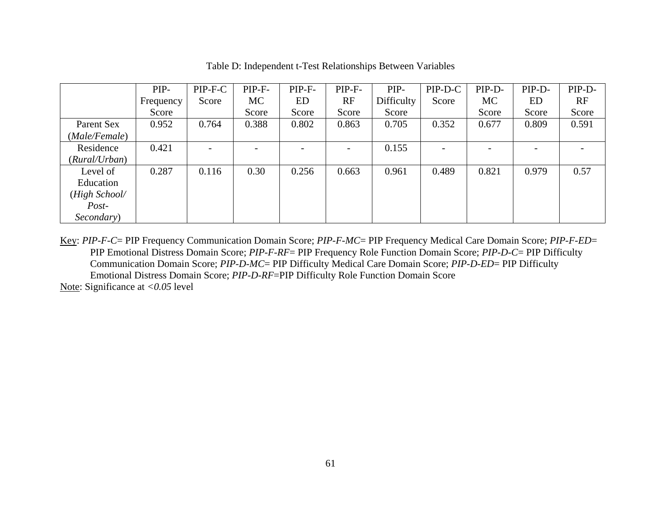|               | PIP-      | PIP-F-C                  | PIP-F- | PIP-F-                   | PIP-F- | PIP-       | PIP-D-C                  | PIP-D-    | PIP-D-                   | PIP-D- |
|---------------|-----------|--------------------------|--------|--------------------------|--------|------------|--------------------------|-----------|--------------------------|--------|
|               | Frequency | Score                    | MC     | ED                       | RF     | Difficulty | Score                    | <b>MC</b> | ED                       | RF     |
|               | Score     |                          | Score  | Score                    | Score  | Score      |                          | Score     | Score                    | Score  |
| Parent Sex    | 0.952     | 0.764                    | 0.388  | 0.802                    | 0.863  | 0.705      | 0.352                    | 0.677     | 0.809                    | 0.591  |
| (Male/Female) |           |                          |        |                          |        |            |                          |           |                          |        |
| Residence     | 0.421     | $\overline{\phantom{0}}$ | -      | $\overline{\phantom{0}}$ |        | 0.155      | $\overline{\phantom{0}}$ |           | $\overline{\phantom{a}}$ |        |
| (Rural/Urban) |           |                          |        |                          |        |            |                          |           |                          |        |
| Level of      | 0.287     | 0.116                    | 0.30   | 0.256                    | 0.663  | 0.961      | 0.489                    | 0.821     | 0.979                    | 0.57   |
| Education     |           |                          |        |                          |        |            |                          |           |                          |        |
| High School/  |           |                          |        |                          |        |            |                          |           |                          |        |
| $Post-$       |           |                          |        |                          |        |            |                          |           |                          |        |
| Secondary)    |           |                          |        |                          |        |            |                          |           |                          |        |

Table D: Independent t-Test Relationships Between Variables

Key: *PIP-F-C*= PIP Frequency Communication Domain Score; *PIP-F-MC*= PIP Frequency Medical Care Domain Score; *PIP-F-ED*= PIP Emotional Distress Domain Score; *PIP-F-RF*= PIP Frequency Role Function Domain Score; *PIP-D-C*= PIP Difficulty Communication Domain Score; *PIP-D-MC*= PIP Difficulty Medical Care Domain Score; *PIP-D-ED*= PIP Difficulty Emotional Distress Domain Score; *PIP-D-RF*=PIP Difficulty Role Function Domain Score

Note: Significance at *<0.05* level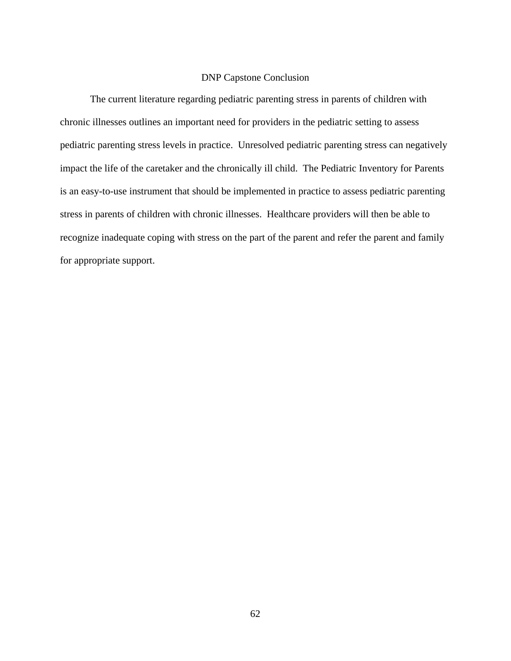# DNP Capstone Conclusion

The current literature regarding pediatric parenting stress in parents of children with chronic illnesses outlines an important need for providers in the pediatric setting to assess pediatric parenting stress levels in practice. Unresolved pediatric parenting stress can negatively impact the life of the caretaker and the chronically ill child. The Pediatric Inventory for Parents is an easy-to-use instrument that should be implemented in practice to assess pediatric parenting stress in parents of children with chronic illnesses. Healthcare providers will then be able to recognize inadequate coping with stress on the part of the parent and refer the parent and family for appropriate support.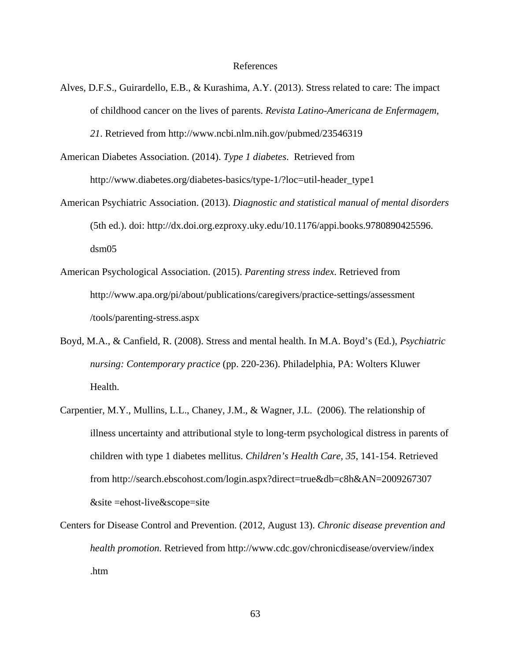## References

Alves, D.F.S., Guirardello, E.B., & Kurashima, A.Y. (2013). Stress related to care: The impact of childhood cancer on the lives of parents. *Revista Latino-Americana de Enfermagem,* 

*21*. Retrieved from http://www.ncbi.nlm.nih.gov/pubmed/23546319

- American Diabetes Association. (2014). *Type 1 diabetes*. Retrieved from http://www.diabetes.org/diabetes-basics/type-1/?loc=util-header\_type1
- American Psychiatric Association. (2013). *Diagnostic and statistical manual of mental disorders* (5th ed.). doi: http://dx.doi.org.ezproxy.uky.edu/10.1176/appi.books.9780890425596. dsm05
- American Psychological Association. (2015). *Parenting stress index.* Retrieved from http://www.apa.org/pi/about/publications/caregivers/practice-settings/assessment /tools/parenting-stress.aspx
- Boyd, M.A., & Canfield, R. (2008). Stress and mental health. In M.A. Boyd's (Ed.), *Psychiatric nursing: Contemporary practice* (pp. 220-236). Philadelphia, PA: Wolters Kluwer Health.
- Carpentier, M.Y., Mullins, L.L., Chaney, J.M., & Wagner, J.L. (2006). The relationship of illness uncertainty and attributional style to long-term psychological distress in parents of children with type 1 diabetes mellitus. *Children's Health Care, 35*, 141-154. Retrieved from http://search.ebscohost.com/login.aspx?direct=true&db=c8h&AN=2009267307 &site =ehost-live&scope=site
- Centers for Disease Control and Prevention. (2012, August 13). *Chronic disease prevention and health promotion.* Retrieved from http://www.cdc.gov/chronicdisease/overview/index .htm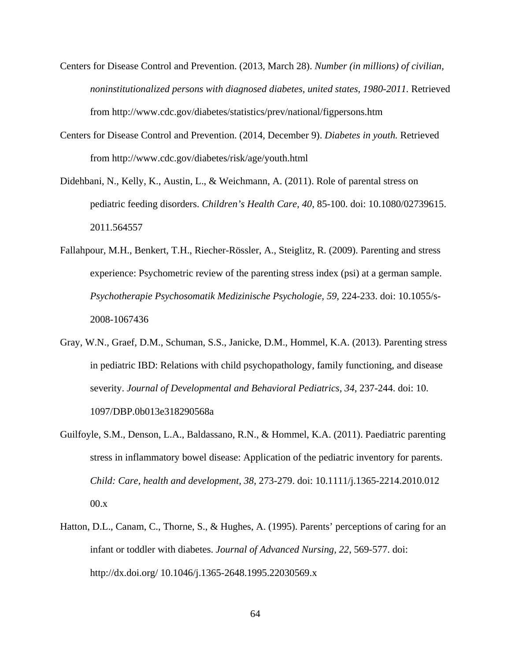- Centers for Disease Control and Prevention. (2013, March 28). *Number (in millions) of civilian, noninstitutionalized persons with diagnosed diabetes, united states, 1980-2011.* Retrieved from http://www.cdc.gov/diabetes/statistics/prev/national/figpersons.htm
- Centers for Disease Control and Prevention. (2014, December 9). *Diabetes in youth.* Retrieved from http://www.cdc.gov/diabetes/risk/age/youth.html
- Didehbani, N., Kelly, K., Austin, L., & Weichmann, A. (2011). Role of parental stress on pediatric feeding disorders. *Children's Health Care, 40*, 85-100. doi: 10.1080/02739615. 2011.564557
- Fallahpour, M.H., Benkert, T.H., Riecher-Rössler, A., Steiglitz, R. (2009). Parenting and stress experience: Psychometric review of the parenting stress index (psi) at a german sample. *Psychotherapie Psychosomatik Medizinische Psychologie, 59,* 224-233. doi: 10.1055/s-2008-1067436
- Gray, W.N., Graef, D.M., Schuman, S.S., Janicke, D.M., Hommel, K.A. (2013). Parenting stress in pediatric IBD: Relations with child psychopathology, family functioning, and disease severity. *Journal of Developmental and Behavioral Pediatrics, 34*, 237-244. doi: 10. 1097/DBP.0b013e318290568a
- Guilfoyle, S.M., Denson, L.A., Baldassano, R.N., & Hommel, K.A. (2011). Paediatric parenting stress in inflammatory bowel disease: Application of the pediatric inventory for parents. *Child: Care, health and development, 38*, 273-279. doi: 10.1111/j.1365-2214.2010.012 00.x
- Hatton, D.L., Canam, C., Thorne, S., & Hughes, A. (1995). Parents' perceptions of caring for an infant or toddler with diabetes. *Journal of Advanced Nursing, 22*, 569-577. doi: http://dx.doi.org/ 10.1046/j.1365-2648.1995.22030569.x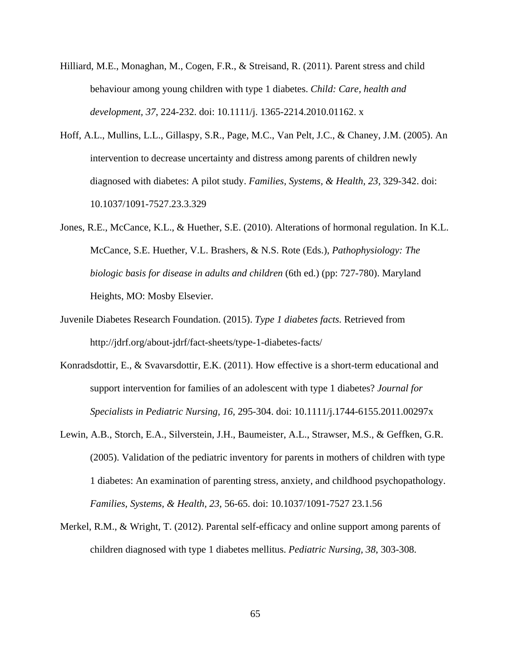- Hilliard, M.E., Monaghan, M., Cogen, F.R., & Streisand, R. (2011). Parent stress and child behaviour among young children with type 1 diabetes. *Child: Care, health and development, 37*, 224-232. doi: 10.1111/j. 1365-2214.2010.01162. x
- Hoff, A.L., Mullins, L.L., Gillaspy, S.R., Page, M.C., Van Pelt, J.C., & Chaney, J.M. (2005). An intervention to decrease uncertainty and distress among parents of children newly diagnosed with diabetes: A pilot study. *Families, Systems, & Health, 23,* 329-342. doi: 10.1037/1091-7527.23.3.329
- Jones, R.E., McCance, K.L., & Huether, S.E. (2010). Alterations of hormonal regulation. In K.L. McCance, S.E. Huether, V.L. Brashers, & N.S. Rote (Eds.), *Pathophysiology: The biologic basis for disease in adults and children* (6th ed.) (pp: 727-780). Maryland Heights, MO: Mosby Elsevier.
- Juvenile Diabetes Research Foundation. (2015). *Type 1 diabetes facts.* Retrieved from http://jdrf.org/about-jdrf/fact-sheets/type-1-diabetes-facts/
- Konradsdottir, E., & Svavarsdottir, E.K. (2011). How effective is a short-term educational and support intervention for families of an adolescent with type 1 diabetes? *Journal for Specialists in Pediatric Nursing, 16,* 295-304. doi: 10.1111/j.1744-6155.2011.00297x
- Lewin, A.B., Storch, E.A., Silverstein, J.H., Baumeister, A.L., Strawser, M.S., & Geffken, G.R. (2005). Validation of the pediatric inventory for parents in mothers of children with type 1 diabetes: An examination of parenting stress, anxiety, and childhood psychopathology. *Families, Systems, & Health, 23,* 56-65. doi: 10.1037/1091-7527 23.1.56
- Merkel, R.M., & Wright, T. (2012). Parental self-efficacy and online support among parents of children diagnosed with type 1 diabetes mellitus. *Pediatric Nursing, 38*, 303-308.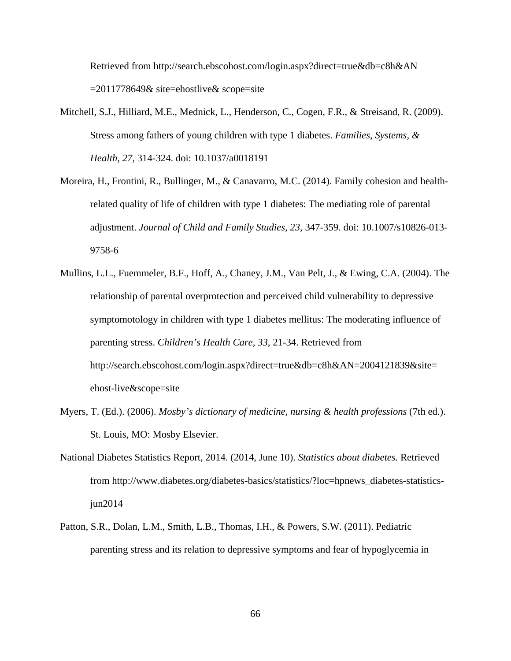Retrieved from http://search.ebscohost.com/login.aspx?direct=true&db=c8h&AN =2011778649& site=ehostlive& scope=site

- Mitchell, S.J., Hilliard, M.E., Mednick, L., Henderson, C., Cogen, F.R., & Streisand, R. (2009). Stress among fathers of young children with type 1 diabetes. *Families, Systems, & Health, 27,* 314-324. doi: 10.1037/a0018191
- Moreira, H., Frontini, R., Bullinger, M., & Canavarro, M.C. (2014). Family cohesion and healthrelated quality of life of children with type 1 diabetes: The mediating role of parental adjustment. *Journal of Child and Family Studies, 23,* 347-359. doi: 10.1007/s10826-013- 9758-6
- Mullins, L.L., Fuemmeler, B.F., Hoff, A., Chaney, J.M., Van Pelt, J., & Ewing, C.A. (2004). The relationship of parental overprotection and perceived child vulnerability to depressive symptomotology in children with type 1 diabetes mellitus: The moderating influence of parenting stress. *Children's Health Care, 33*, 21-34. Retrieved from http://search.ebscohost.com/login.aspx?direct=true&db=c8h&AN=2004121839&site= ehost-live&scope=site
- Myers, T. (Ed.). (2006). *Mosby's dictionary of medicine, nursing & health professions* (7th ed.). St. Louis, MO: Mosby Elsevier.
- National Diabetes Statistics Report, 2014. (2014, June 10). *Statistics about diabetes.* Retrieved from http://www.diabetes.org/diabetes-basics/statistics/?loc=hpnews\_diabetes-statisticsjun2014
- Patton, S.R., Dolan, L.M., Smith, L.B., Thomas, I.H., & Powers, S.W. (2011). Pediatric parenting stress and its relation to depressive symptoms and fear of hypoglycemia in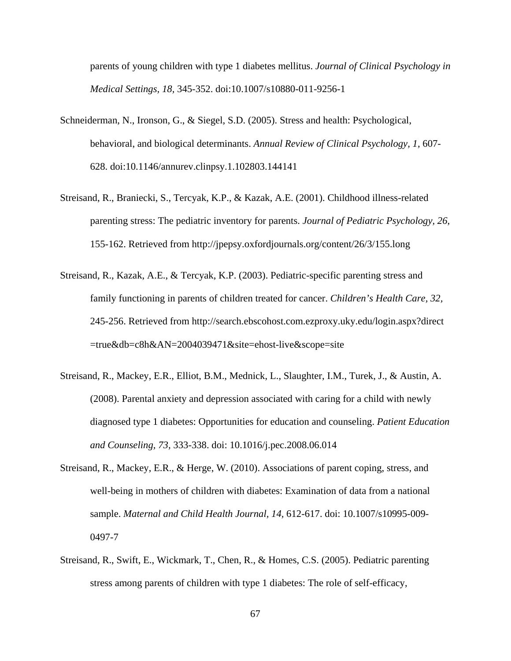parents of young children with type 1 diabetes mellitus. *Journal of Clinical Psychology in Medical Settings, 18,* 345-352. doi:10.1007/s10880-011-9256-1

- Schneiderman, N., Ironson, G., & Siegel, S.D. (2005). Stress and health: Psychological, behavioral, and biological determinants. *Annual Review of Clinical Psychology, 1,* 607- 628. doi:10.1146/annurev.clinpsy.1.102803.144141
- Streisand, R., Braniecki, S., Tercyak, K.P., & Kazak, A.E. (2001). Childhood illness-related parenting stress: The pediatric inventory for parents. *Journal of Pediatric Psychology, 26*, 155-162. Retrieved from http://jpepsy.oxfordjournals.org/content/26/3/155.long
- Streisand, R., Kazak, A.E., & Tercyak, K.P. (2003). Pediatric-specific parenting stress and family functioning in parents of children treated for cancer. *Children's Health Care, 32,*  245-256. Retrieved from http://search.ebscohost.com.ezproxy.uky.edu/login.aspx?direct =true&db=c8h&AN=2004039471&site=ehost-live&scope=site
- Streisand, R., Mackey, E.R., Elliot, B.M., Mednick, L., Slaughter, I.M., Turek, J., & Austin, A. (2008). Parental anxiety and depression associated with caring for a child with newly diagnosed type 1 diabetes: Opportunities for education and counseling. *Patient Education and Counseling, 73,* 333-338. doi: 10.1016/j.pec.2008.06.014
- Streisand, R., Mackey, E.R., & Herge, W. (2010). Associations of parent coping, stress, and well-being in mothers of children with diabetes: Examination of data from a national sample. *Maternal and Child Health Journal, 14,* 612-617. doi: 10.1007/s10995-009- 0497-7
- Streisand, R., Swift, E., Wickmark, T., Chen, R., & Homes, C.S. (2005). Pediatric parenting stress among parents of children with type 1 diabetes: The role of self-efficacy,